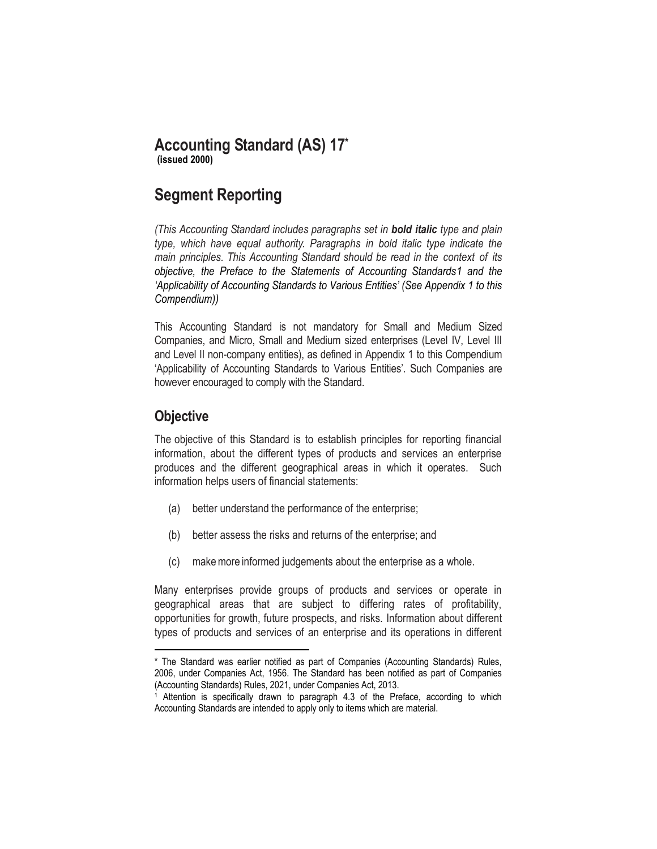#### **Accounting Standard (AS) 17\***

**(issued 2000)**

#### **Segment Reporting**

*(This Accounting Standard includes paragraphs set in bold italic type and plain type, which have equal authority. Paragraphs in bold italic type indicate the main principles. This Accounting Standard should be read in the context of its objective, the Preface to the Statements of Accounting Standards1 and the 'Applicability of Accounting Standards to Various Entities' (See Appendix 1 to this Compendium))*

This Accounting Standard is not mandatory for Small and Medium Sized Companies, and Micro, Small and Medium sized enterprises (Level IV, Level III and Level II non-company entities), as defined in Appendix 1 to this Compendium 'Applicability of Accounting Standards to Various Entities'. Such Companies are however encouraged to comply with the Standard.

#### **Objective**

l

The objective of this Standard is to establish principles for reporting financial information, about the different types of products and services an enterprise produces and the different geographical areas in which it operates. Such information helps users of financial statements:

- (a) better understand the performance of the enterprise;
- (b) better assess the risks and returns of the enterprise; and
- (c) makemore informed judgements about the enterprise as a whole.

Many enterprises provide groups of products and services or operate in geographical areas that are subject to differing rates of profitability, opportunities for growth, future prospects, and risks. Information about different types of products and services of an enterprise and its operations in different

<sup>\*</sup> The Standard was earlier notified as part of Companies (Accounting Standards) Rules, 2006, under Companies Act, 1956. The Standard has been notified as part of Companies (Accounting Standards) Rules, 2021, under Companies Act, 2013.

<sup>1</sup> Attention is specifically drawn to paragraph 4.3 of the Preface, according to which Accounting Standards are intended to apply only to items which are material.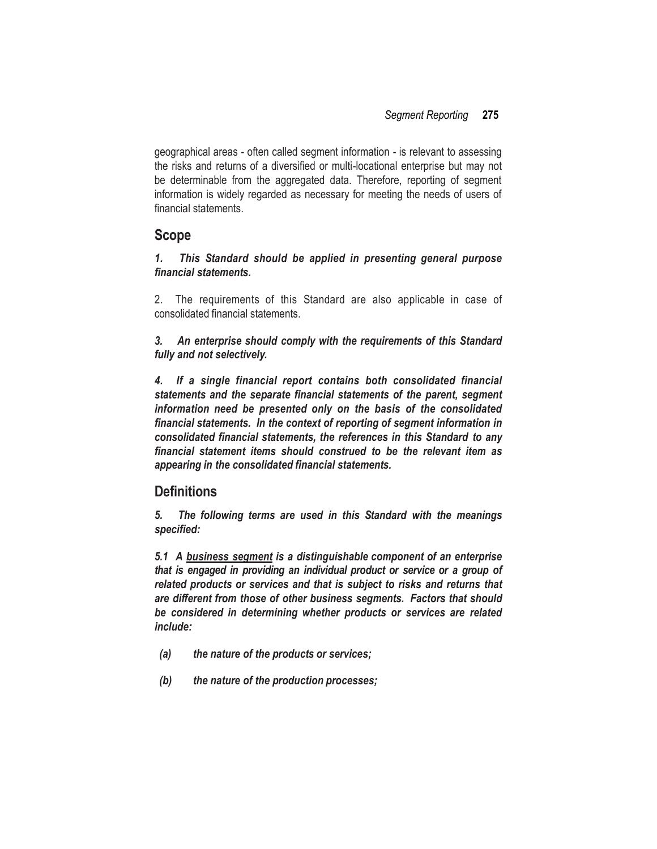geographical areas - often called segment information - is relevant to assessing the risks and returns of a diversified or multi-locational enterprise but may not be determinable from the aggregated data. Therefore, reporting of segment information is widely regarded as necessary for meeting the needs of users of financial statements.

#### **Scope**

*1. This Standard should be applied in presenting general purpose financial statements.*

2. The requirements of this Standard are also applicable in case of consolidated financial statements.

*3. An enterprise should comply with the requirements of this Standard fully and not selectively.*

*4. If a single financial report contains both consolidated financial statements and the separate financial statements of the parent, segment information need be presented only on the basis of the consolidated financial statements. In the context of reporting of segment information in consolidated financial statements, the references in this Standard to any financial statement items should construed to be the relevant item as appearing in the consolidated financial statements.*

#### **Definitions**

*5. The following terms are used in this Standard with the meanings specified:*

*5.1 A business segment is a distinguishable component of an enterprise that is engaged in providing an individual product or service or a group of related products or services and that is subject to risks and returns that are different from those of other business segments. Factors that should be considered in determining whether products or services are related include:*

- *(a) the nature of the products or services;*
- *(b) the nature of the production processes;*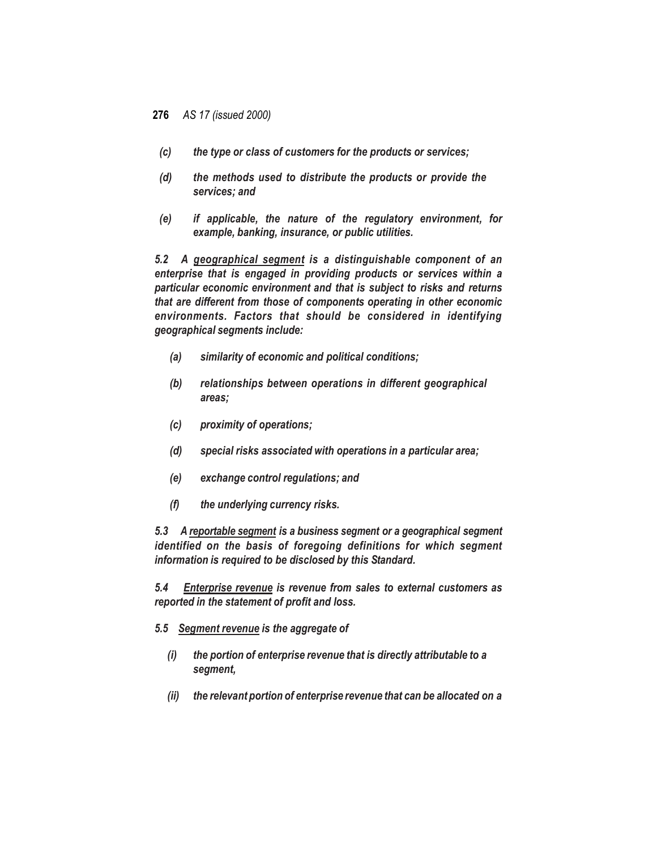- **276** *AS 17 (issued 2000)*
	- *(c) the type or class of customers for the products or services;*
- *(d) the methods used to distribute the products or provide the services; and*
- *(e) if applicable, the nature of the regulatory environment, for example, banking, insurance, or public utilities.*

*5.2 A geographical segment is a distinguishable component of an enterprise that is engaged in providing products or services within a particular economic environment and that is subject to risks and returns that are different from those of components operating in other economic environments. Factors that should be considered in identifying geographical segments include:*

- *(a) similarity of economic and political conditions;*
- *(b) relationships between operations in different geographical areas;*
- *(c) proximity of operations;*
- *(d) special risks associated with operations in a particular area;*
- *(e) exchange control regulations; and*
- *(f) the underlying currency risks.*

*5.3 A reportable segment is a business segment or a geographical segment identified on the basis of foregoing definitions for which segment information is required to be disclosed by this Standard.*

*5.4 Enterprise revenue is revenue from sales to external customers as reported in the statement of profit and loss.*

#### *5.5 Segment revenue is the aggregate of*

- *(i) the portion of enterprise revenue that is directly attributable to a segment,*
- *(ii) the relevant portion of enterprise revenue that can be allocated on a*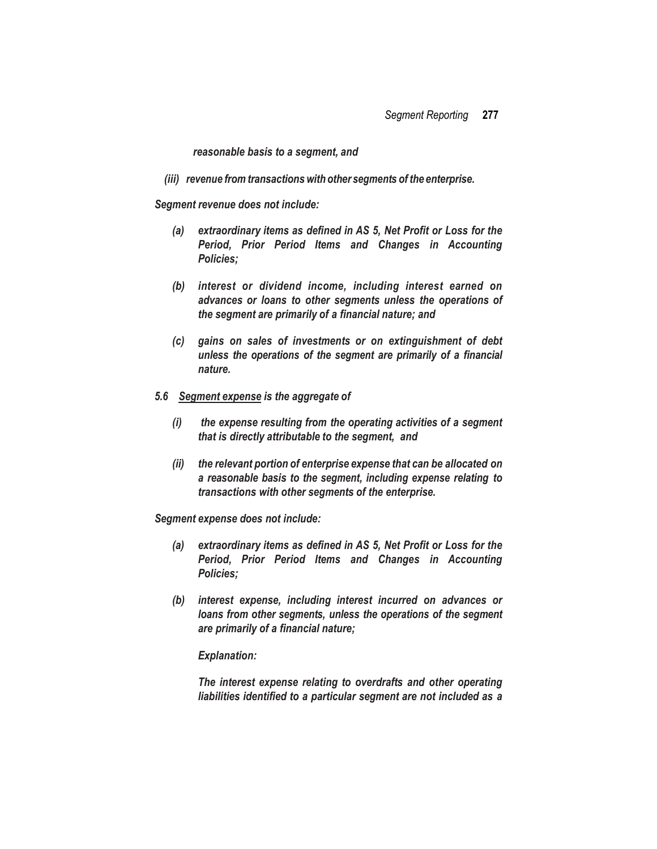*reasonable basis to a segment, and*

*(iii) revenue from transactionswith other segments of the enterprise.*

*Segment revenue does not include:*

- *(a) extraordinary items as defined in AS 5, Net Profit or Loss for the Period, Prior Period Items and Changes in Accounting Policies;*
- *(b) interest or dividend income, including interest earned on advances or loans to other segments unless the operations of the segment are primarily of a financial nature; and*
- *(c) gains on sales of investments or on extinguishment of debt unless the operations of the segment are primarily of a financial nature.*
- *5.6 Segment expense is the aggregate of*
	- *(i) the expense resulting from the operating activities of a segment that is directly attributable to the segment, and*
	- *(ii) the relevant portion of enterprise expense that can be allocated on a reasonable basis to the segment, including expense relating to transactions with other segments of the enterprise.*

*Segment expense does not include:*

- *(a) extraordinary items as defined in AS 5, Net Profit or Loss for the Period, Prior Period Items and Changes in Accounting Policies;*
- *(b) interest expense, including interest incurred on advances or loans from other segments, unless the operations of the segment are primarily of a financial nature;*

*Explanation:*

*The interest expense relating to overdrafts and other operating liabilities identified to a particular segment are not included as a*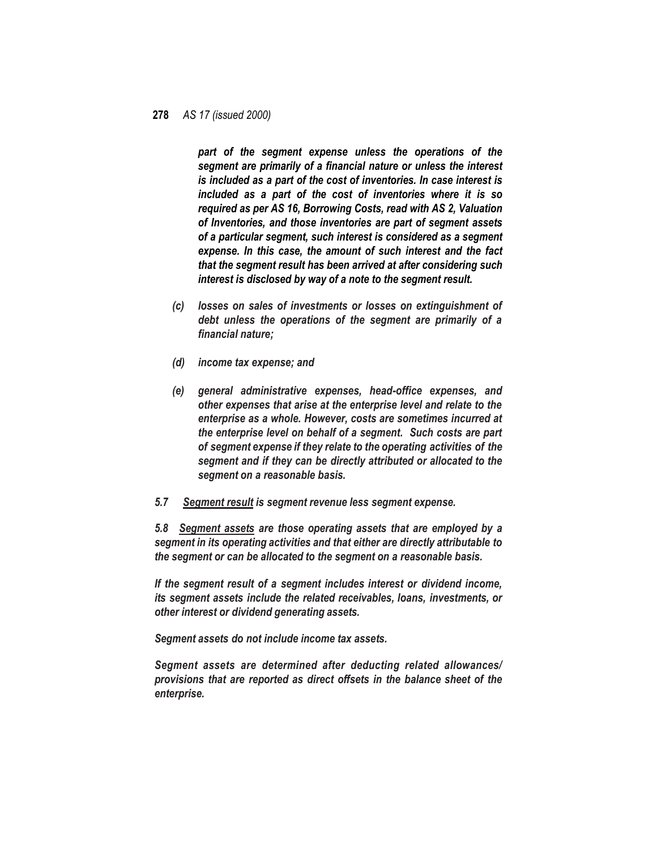*part of the segment expense unless the operations of the segment are primarily of a financial nature or unless the interest is included as a part of the cost of inventories. In case interest is included as a part of the cost of inventories where it is so required as per AS 16, Borrowing Costs, read with AS 2, Valuation of Inventories, and those inventories are part of segment assets of a particular segment, such interest is considered as a segment expense. In this case, the amount of such interest and the fact that the segment result has been arrived at after considering such interest is disclosed by way of a note to the segment result.*

- *(c) losses on sales of investments or losses on extinguishment of debt unless the operations of the segment are primarily of a financial nature;*
- *(d) income tax expense; and*
- *(e) general administrative expenses, head-office expenses, and other expenses that arise at the enterprise level and relate to the enterprise as a whole. However, costs are sometimes incurred at the enterprise level on behalf of a segment. Such costs are part of segment expense if they relate to the operating activities of the segment and if they can be directly attributed or allocated to the segment on a reasonable basis.*
- *5.7 Segment result is segment revenue less segment expense.*

*5.8 Segment assets are those operating assets that are employed by a segment in its operating activities and that either are directly attributable to the segment or can be allocated to the segment on a reasonable basis.*

*If the segment result of a segment includes interest or dividend income, its segment assets include the related receivables, loans, investments, or other interest or dividend generating assets.*

*Segment assets do not include income tax assets.*

*Segment assets are determined after deducting related allowances/ provisions that are reported as direct offsets in the balance sheet of the enterprise.*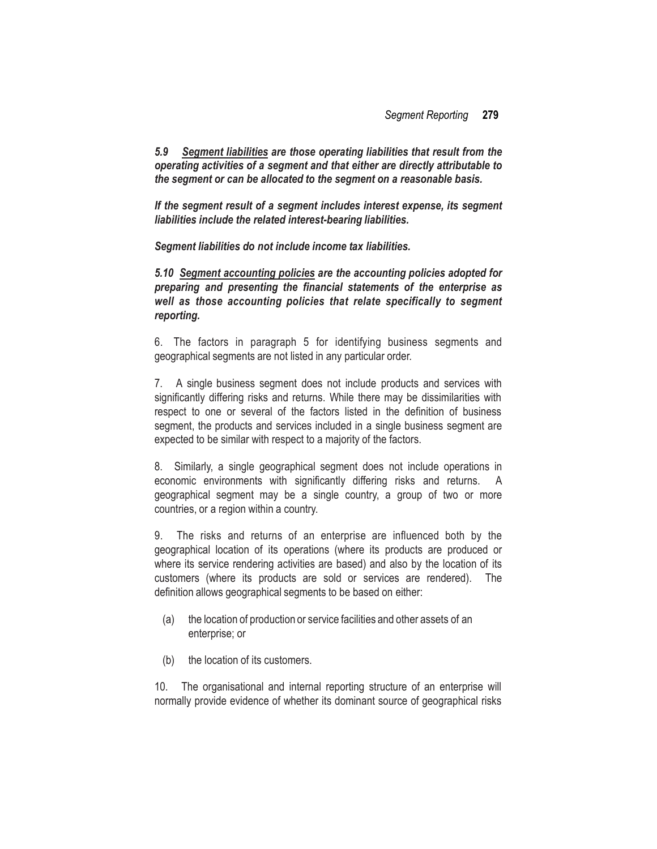*5.9 Segment liabilities are those operating liabilities that result from the operating activities of a segment and that either are directly attributable to the segment or can be allocated to the segment on a reasonable basis.*

*If the segment result of a segment includes interest expense, its segment liabilities include the related interest-bearing liabilities.*

*Segment liabilities do not include income tax liabilities.*

*5.10 Segment accounting policies are the accounting policies adopted for preparing and presenting the financial statements of the enterprise as well as those accounting policies that relate specifically to segment reporting.*

6. The factors in paragraph 5 for identifying business segments and geographical segments are not listed in any particular order.

7. A single business segment does not include products and services with significantly differing risks and returns. While there may be dissimilarities with respect to one or several of the factors listed in the definition of business segment, the products and services included in a single business segment are expected to be similar with respect to a majority of the factors.

8. Similarly, a single geographical segment does not include operations in economic environments with significantly differing risks and returns. A geographical segment may be a single country, a group of two or more countries, or a region within a country.

9. The risks and returns of an enterprise are influenced both by the geographical location of its operations (where its products are produced or where its service rendering activities are based) and also by the location of its customers (where its products are sold or services are rendered). The definition allows geographical segments to be based on either:

- (a) the location of production or service facilities and other assets of an enterprise; or
- (b) the location of its customers.

10. The organisational and internal reporting structure of an enterprise will normally provide evidence of whether its dominant source of geographical risks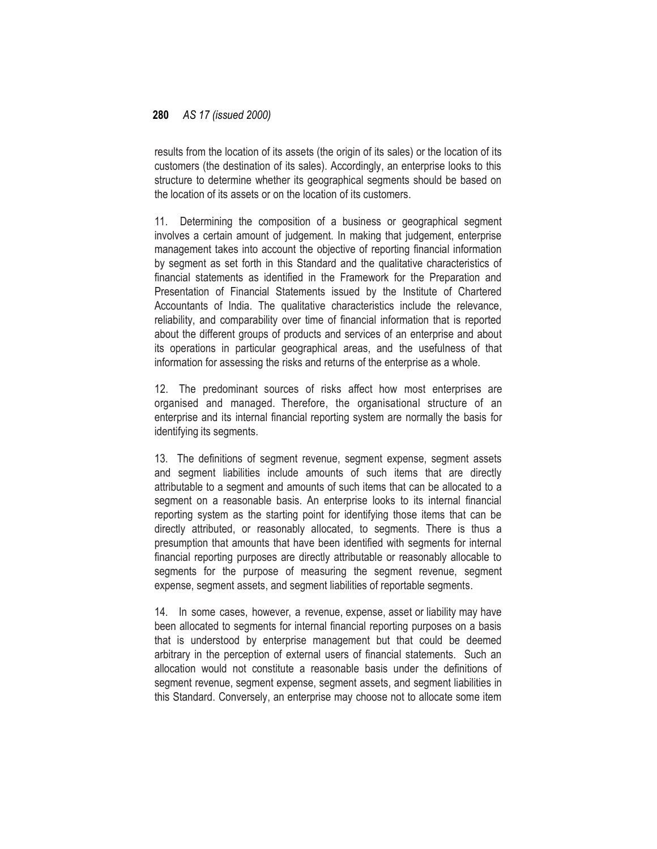results from the location of its assets (the origin of its sales) or the location of its customers (the destination of its sales). Accordingly, an enterprise looks to this structure to determine whether its geographical segments should be based on the location of its assets or on the location of its customers.

11. Determining the composition of a business or geographical segment involves a certain amount of judgement. In making that judgement, enterprise management takes into account the objective of reporting financial information by segment as set forth in this Standard and the qualitative characteristics of financial statements as identified in the Framework for the Preparation and Presentation of Financial Statements issued by the Institute of Chartered Accountants of India. The qualitative characteristics include the relevance, reliability, and comparability over time of financial information that is reported about the different groups of products and services of an enterprise and about its operations in particular geographical areas, and the usefulness of that information for assessing the risks and returns of the enterprise as a whole.

12. The predominant sources of risks affect how most enterprises are organised and managed. Therefore, the organisational structure of an enterprise and its internal financial reporting system are normally the basis for identifying its segments.

13. The definitions of segment revenue, segment expense, segment assets and segment liabilities include amounts of such items that are directly attributable to a segment and amounts of such items that can be allocated to a segment on a reasonable basis. An enterprise looks to its internal financial reporting system as the starting point for identifying those items that can be directly attributed, or reasonably allocated, to segments. There is thus a presumption that amounts that have been identified with segments for internal financial reporting purposes are directly attributable or reasonably allocable to segments for the purpose of measuring the segment revenue, segment expense, segment assets, and segment liabilities of reportable segments.

14. In some cases, however, a revenue, expense, asset or liability may have been allocated to segments for internal financial reporting purposes on a basis that is understood by enterprise management but that could be deemed arbitrary in the perception of external users of financial statements. Such an allocation would not constitute a reasonable basis under the definitions of segment revenue, segment expense, segment assets, and segment liabilities in this Standard. Conversely, an enterprise may choose not to allocate some item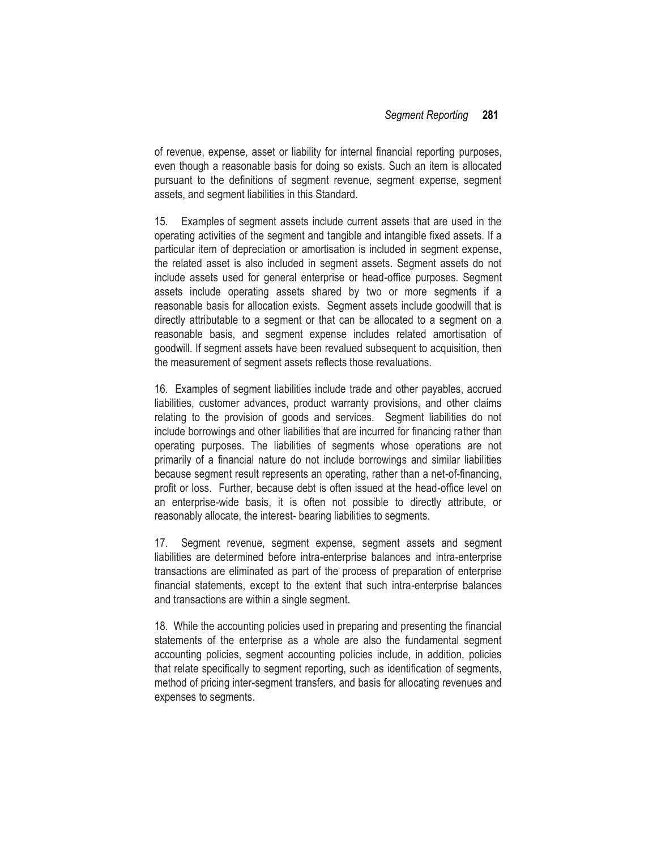of revenue, expense, asset or liability for internal financial reporting purposes, even though a reasonable basis for doing so exists. Such an item is allocated pursuant to the definitions of segment revenue, segment expense, segment assets, and segment liabilities in this Standard.

15. Examples of segment assets include current assets that are used in the operating activities of the segment and tangible and intangible fixed assets. If a particular item of depreciation or amortisation is included in segment expense, the related asset is also included in segment assets. Segment assets do not include assets used for general enterprise or head-office purposes. Segment assets include operating assets shared by two or more segments if a reasonable basis for allocation exists. Segment assets include goodwill that is directly attributable to a segment or that can be allocated to a segment on a reasonable basis, and segment expense includes related amortisation of goodwill. If segment assets have been revalued subsequent to acquisition, then the measurement of segment assets reflects those revaluations.

16. Examples of segment liabilities include trade and other payables, accrued liabilities, customer advances, product warranty provisions, and other claims relating to the provision of goods and services. Segment liabilities do not include borrowings and other liabilities that are incurred for financing rather than operating purposes. The liabilities of segments whose operations are not primarily of a financial nature do not include borrowings and similar liabilities because segment result represents an operating, rather than a net-of-financing, profit or loss. Further, because debt is often issued at the head-office level on an enterprise-wide basis, it is often not possible to directly attribute, or reasonably allocate, the interest- bearing liabilities to segments.

17. Segment revenue, segment expense, segment assets and segment liabilities are determined before intra-enterprise balances and intra-enterprise transactions are eliminated as part of the process of preparation of enterprise financial statements, except to the extent that such intra-enterprise balances and transactions are within a single segment.

18. While the accounting policies used in preparing and presenting the financial statements of the enterprise as a whole are also the fundamental segment accounting policies, segment accounting policies include, in addition, policies that relate specifically to segment reporting, such as identification of segments, method of pricing inter-segment transfers, and basis for allocating revenues and expenses to segments.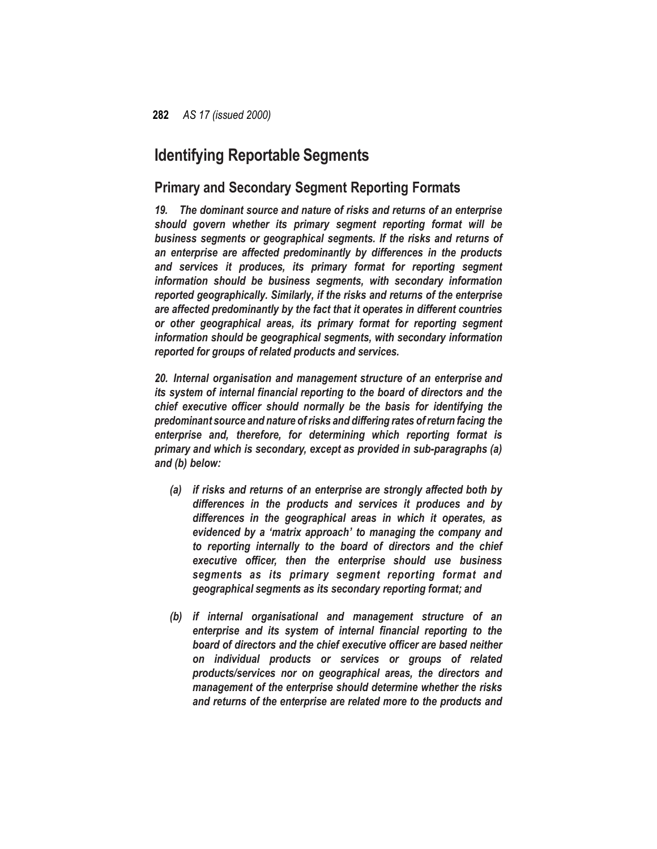#### **Identifying Reportable Segments**

#### **Primary and Secondary Segment Reporting Formats**

*19. The dominant source and nature of risks and returns of an enterprise should govern whether its primary segment reporting format will be business segments or geographical segments. If the risks and returns of an enterprise are affected predominantly by differences in the products*  and services it produces, its primary format for reporting segment *information should be business segments, with secondary information reported geographically. Similarly, if the risks and returns of the enterprise are affected predominantly by the fact that it operates in different countries or other geographical areas, its primary format for reporting segment information should be geographical segments, with secondary information reported for groups of related products and services.*

*20. Internal organisation and management structure of an enterprise and its system of internal financial reporting to the board of directors and the chief executive officer should normally be the basis for identifying the predominant source and nature of risks and differing rates ofreturn facing the enterprise and, therefore, for determining which reporting format is primary and which is secondary, except as provided in sub-paragraphs (a) and (b) below:*

- *(a) if risks and returns of an enterprise are strongly affected both by differences in the products and services it produces and by differences in the geographical areas in which it operates, as evidenced by a 'matrix approach' to managing the company and to reporting internally to the board of directors and the chief executive officer, then the enterprise should use business segments as its primary segment reporting format and geographical segments as its secondary reporting format; and*
- *(b) if internal organisational and management structure of an enterprise and its system of internal financial reporting to the board of directors and the chief executive officer are based neither on individual products or services or groups of related products/services nor on geographical areas, the directors and management of the enterprise should determine whether the risks and returns of the enterprise are related more to the products and*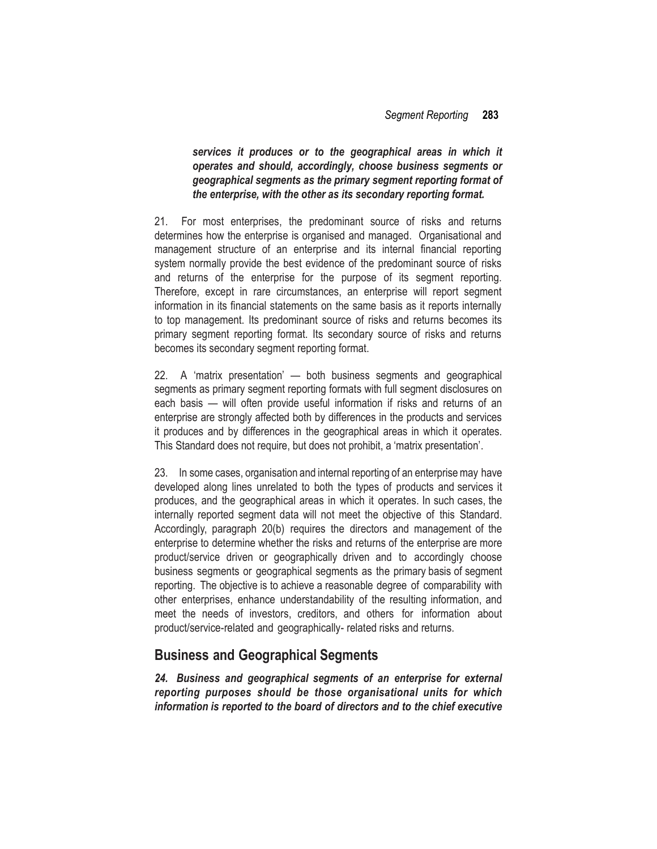*services it produces or to the geographical areas in which it operates and should, accordingly, choose business segments or geographical segments as the primary segment reporting format of the enterprise, with the other as its secondary reporting format.*

21. For most enterprises, the predominant source of risks and returns determines how the enterprise is organised and managed. Organisational and management structure of an enterprise and its internal financial reporting system normally provide the best evidence of the predominant source of risks and returns of the enterprise for the purpose of its segment reporting. Therefore, except in rare circumstances, an enterprise will report segment information in its financial statements on the same basis as it reports internally to top management. Its predominant source of risks and returns becomes its primary segment reporting format. Its secondary source of risks and returns becomes its secondary segment reporting format.

22. A 'matrix presentation' — both business segments and geographical segments as primary segment reporting formats with full segment disclosures on each basis — will often provide useful information if risks and returns of an enterprise are strongly affected both by differences in the products and services it produces and by differences in the geographical areas in which it operates. This Standard does not require, but does not prohibit, a 'matrix presentation'.

23. In some cases, organisation and internal reporting of an enterprisemay have developed along lines unrelated to both the types of products and services it produces, and the geographical areas in which it operates. In such cases, the internally reported segment data will not meet the objective of this Standard. Accordingly, paragraph 20(b) requires the directors and management of the enterprise to determine whether the risks and returns of the enterprise are more product/service driven or geographically driven and to accordingly choose business segments or geographical segments as the primary basis of segment reporting. The objective is to achieve a reasonable degree of comparability with other enterprises, enhance understandability of the resulting information, and meet the needs of investors, creditors, and others for information about product/service-related and geographically- related risks and returns.

#### **Business and Geographical Segments**

*24. Business and geographical segments of an enterprise for external reporting purposes should be those organisational units for which information is reported to the board of directors and to the chief executive*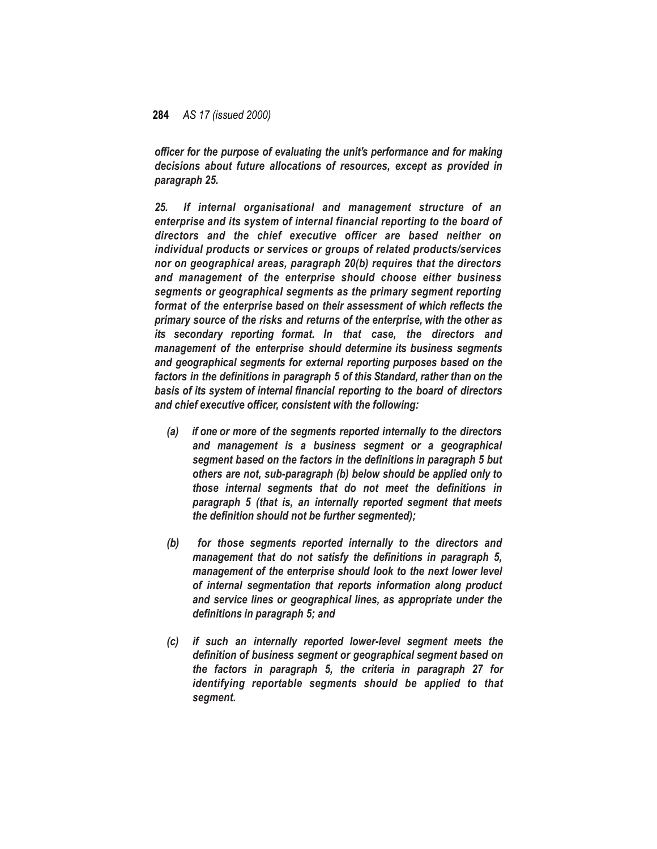*officer for the purpose of evaluating the unit's performance and for making decisions about future allocations of resources, except as provided in paragraph 25.*

*25. If internal organisational and management structure of an enterprise and its system of internal financial reporting to the board of directors and the chief executive officer are based neither on individual products or services or groups of related products/services nor on geographical areas, paragraph 20(b) requires that the directors and management of the enterprise should choose either business segments or geographical segments as the primary segment reporting format of the enterprise based on their assessment of which reflects the primary source of the risks and returns of the enterprise, with the other as its secondary reporting format. In that case, the directors and management of the enterprise should determine its business segments and geographical segments for external reporting purposes based on the factors in the definitions in paragraph 5 of this Standard, rather than on the basis of its system of internal financial reporting to the board of directors and chief executive officer, consistent with the following:*

- *(a) if one or more of the segments reported internally to the directors and management is a business segment or a geographical segment based on the factors in the definitions in paragraph 5 but others are not, sub-paragraph (b) below should be applied only to those internal segments that do not meet the definitions in paragraph 5 (that is, an internally reported segment that meets the definition should not be further segmented);*
- *(b) for those segments reported internally to the directors and management that do not satisfy the definitions in paragraph 5, management of the enterprise should look to the next lower level of internal segmentation that reports information along product and service lines or geographical lines, as appropriate under the definitions in paragraph 5; and*
- *(c) if such an internally reported lower-level segment meets the definition of business segment or geographical segment based on the factors in paragraph 5, the criteria in paragraph 27 for identifying reportable segments should be applied to that segment.*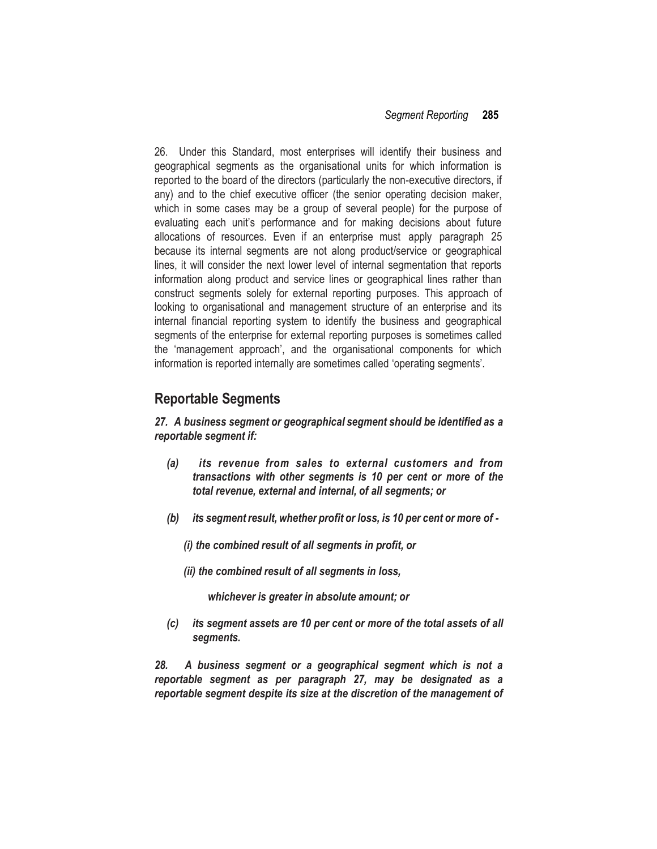26. Under this Standard, most enterprises will identify their business and geographical segments as the organisational units for which information is reported to the board of the directors (particularly the non-executive directors, if any) and to the chief executive officer (the senior operating decision maker, which in some cases may be a group of several people) for the purpose of evaluating each unit's performance and for making decisions about future allocations of resources. Even if an enterprise must apply paragraph 25 because its internal segments are not along product/service or geographical lines, it will consider the next lower level of internal segmentation that reports information along product and service lines or geographical lines rather than construct segments solely for external reporting purposes. This approach of looking to organisational and management structure of an enterprise and its internal financial reporting system to identify the business and geographical segments of the enterprise for external reporting purposes is sometimes called the 'management approach', and the organisational components for which information is reported internally are sometimes called 'operating segments'.

#### **Reportable Segments**

*27. A business segment or geographical segment should be identified as a reportable segment if:*

- *(a) its revenue from sales to external customers and from transactions with other segments is 10 per cent or more of the total revenue, external and internal, of all segments; or*
- *(b) its segment result, whether profit or loss, is 10 per cent or more of -*
	- *(i) the combined result of all segments in profit, or*
	- *(ii) the combined result of all segments in loss,*

*whichever is greater in absolute amount; or*

*(c) its segment assets are 10 per cent or more of the total assets of all segments.*

*28. A business segment or a geographical segment which is not a reportable segment as per paragraph 27, may be designated as a reportable segment despite its size at the discretion of the management of*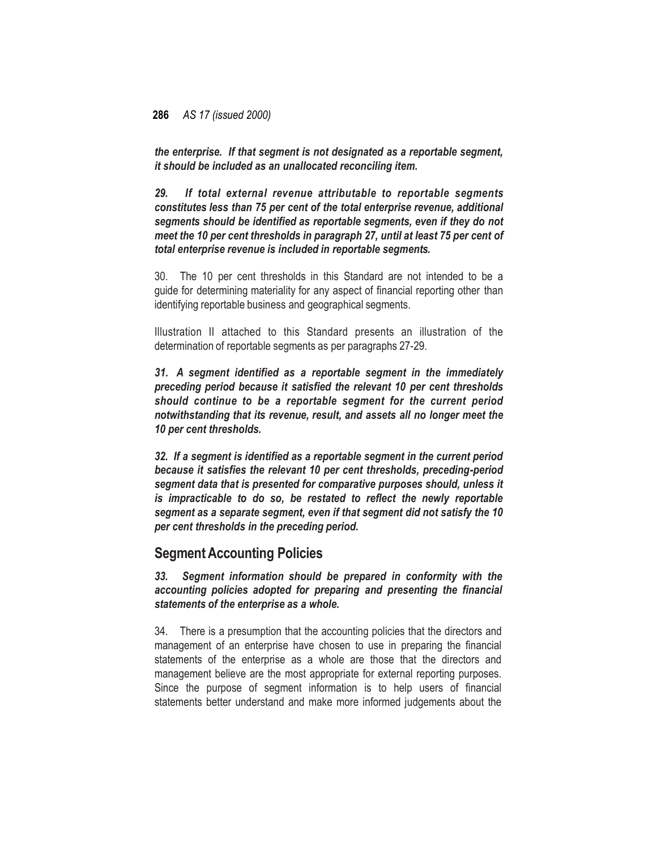*the enterprise. If that segment is not designated as a reportable segment, it should be included as an unallocated reconciling item.*

*29. If total external revenue attributable to reportable segments constitutes less than 75 per cent of the total enterprise revenue, additional segments should be identified as reportable segments, even if they do not meet the 10 per cent thresholds in paragraph 27, until at least 75 per cent of total enterprise revenue is included in reportable segments.*

30. The 10 per cent thresholds in this Standard are not intended to be a guide for determining materiality for any aspect of financial reporting other than identifying reportable business and geographical segments.

Illustration II attached to this Standard presents an illustration of the determination of reportable segments as per paragraphs 27-29.

*31. A segment identified as a reportable segment in the immediately preceding period because it satisfied the relevant 10 per cent thresholds should continue to be a reportable segment for the current period notwithstanding that its revenue, result, and assets all no longer meet the 10 per cent thresholds.*

*32. If a segment is identified as a reportable segment in the current period because it satisfies the relevant 10 per cent thresholds, preceding-period segment data that is presented for comparative purposes should, unless it is impracticable to do so, be restated to reflect the newly reportable segment as a separate segment, even if that segment did not satisfy the 10 per cent thresholds in the preceding period.*

#### **Segment Accounting Policies**

*33. Segment information should be prepared in conformity with the accounting policies adopted for preparing and presenting the financial statements of the enterprise as a whole.*

34. There is a presumption that the accounting policies that the directors and management of an enterprise have chosen to use in preparing the financial statements of the enterprise as a whole are those that the directors and management believe are the most appropriate for external reporting purposes. Since the purpose of segment information is to help users of financial statements better understand and make more informed judgements about the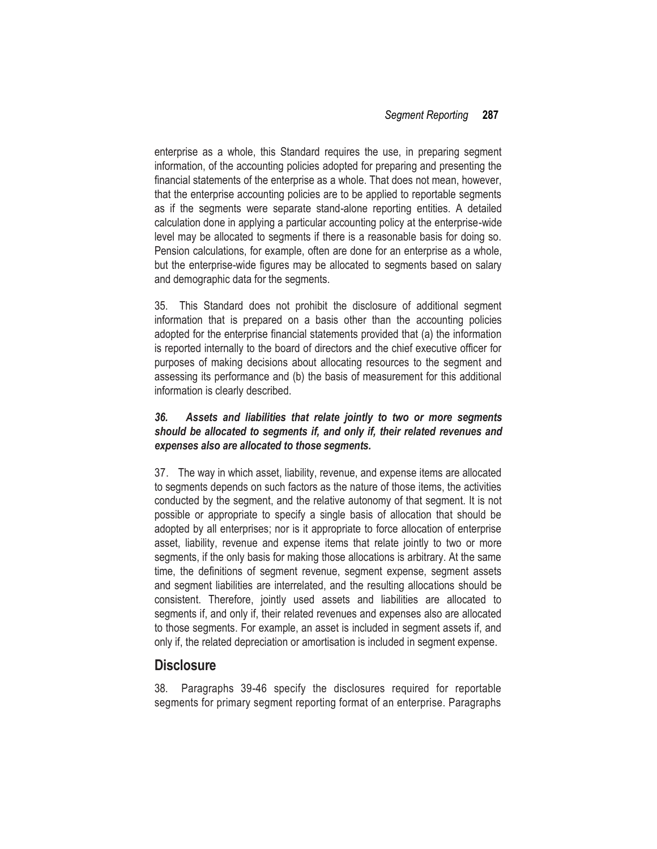enterprise as a whole, this Standard requires the use, in preparing segment information, of the accounting policies adopted for preparing and presenting the financial statements of the enterprise as a whole. That does not mean, however, that the enterprise accounting policies are to be applied to reportable segments as if the segments were separate stand-alone reporting entities. A detailed calculation done in applying a particular accounting policy at the enterprise-wide level may be allocated to segments if there is a reasonable basis for doing so. Pension calculations, for example, often are done for an enterprise as a whole, but the enterprise-wide figures may be allocated to segments based on salary and demographic data for the segments.

35. This Standard does not prohibit the disclosure of additional segment information that is prepared on a basis other than the accounting policies adopted for the enterprise financial statements provided that (a) the information is reported internally to the board of directors and the chief executive officer for purposes of making decisions about allocating resources to the segment and assessing its performance and (b) the basis of measurement for this additional information is clearly described.

#### *36. Assets and liabilities that relate jointly to two or more segments should be allocated to segments if, and only if, their related revenues and expenses also are allocated to those segments.*

37. The way in which asset, liability, revenue, and expense items are allocated to segments depends on such factors as the nature of those items, the activities conducted by the segment, and the relative autonomy of that segment. It is not possible or appropriate to specify a single basis of allocation that should be adopted by all enterprises; nor is it appropriate to force allocation of enterprise asset, liability, revenue and expense items that relate jointly to two or more segments, if the only basis for making those allocations is arbitrary. At the same time, the definitions of segment revenue, segment expense, segment assets and segment liabilities are interrelated, and the resulting allocations should be consistent. Therefore, jointly used assets and liabilities are allocated to segments if, and only if, their related revenues and expenses also are allocated to those segments. For example, an asset is included in segment assets if, and only if, the related depreciation or amortisation is included in segment expense.

#### **Disclosure**

38. Paragraphs 39-46 specify the disclosures required for reportable segments for primary segment reporting format of an enterprise. Paragraphs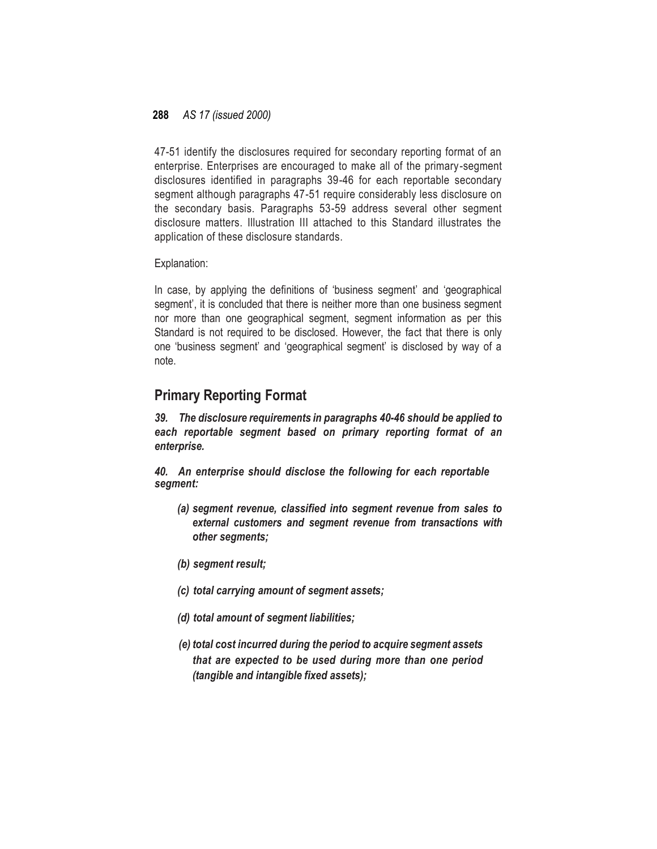47-51 identify the disclosures required for secondary reporting format of an enterprise. Enterprises are encouraged to make all of the primary-segment disclosures identified in paragraphs 39-46 for each reportable secondary segment although paragraphs 47-51 require considerably less disclosure on the secondary basis. Paragraphs 53-59 address several other segment disclosure matters. Illustration III attached to this Standard illustrates the application of these disclosure standards.

#### Explanation:

In case, by applying the definitions of 'business segment' and 'geographical segment', it is concluded that there is neither more than one business segment nor more than one geographical segment, segment information as per this Standard is not required to be disclosed. However, the fact that there is only one 'business segment' and 'geographical segment' is disclosed by way of a note.

#### **Primary Reporting Format**

*39. The disclosure requirements in paragraphs 40-46 should be applied to each reportable segment based on primary reporting format of an enterprise.*

*40. An enterprise should disclose the following for each reportable segment:*

- *(a) segment revenue, classified into segment revenue from sales to external customers and segment revenue from transactions with other segments;*
- *(b) segment result;*
- *(c) total carrying amount of segment assets;*
- *(d) total amount of segment liabilities;*
- *(e) total cost incurred during the period to acquire segment assets that are expected to be used during more than one period (tangible and intangible fixed assets);*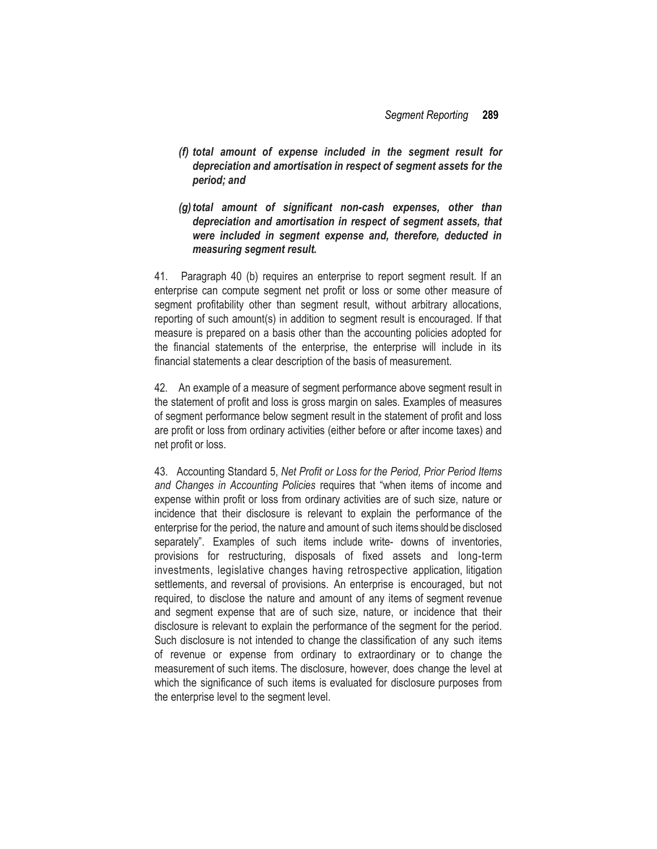- *(f) total amount of expense included in the segment result for depreciation and amortisation in respect of segment assets for the period; and*
- *(g)total amount of significant non-cash expenses, other than depreciation and amortisation in respect of segment assets, that were included in segment expense and, therefore, deducted in measuring segment result.*

41. Paragraph 40 (b) requires an enterprise to report segment result. If an enterprise can compute segment net profit or loss or some other measure of segment profitability other than segment result, without arbitrary allocations, reporting of such amount(s) in addition to segment result is encouraged. If that measure is prepared on a basis other than the accounting policies adopted for the financial statements of the enterprise, the enterprise will include in its financial statements a clear description of the basis of measurement.

42. An example of a measure of segment performance above segment result in the statement of profit and loss is gross margin on sales. Examples of measures of segment performance below segment result in the statement of profit and loss are profit or loss from ordinary activities (either before or after income taxes) and net profit or loss.

43. Accounting Standard 5, *Net Profit or Loss for the Period, Prior Period Items and Changes in Accounting Policies* requires that "when items of income and expense within profit or loss from ordinary activities are of such size, nature or incidence that their disclosure is relevant to explain the performance of the enterprise for the period, the nature and amount of such items should be disclosed separately". Examples of such items include write- downs of inventories, provisions for restructuring, disposals of fixed assets and long-term investments, legislative changes having retrospective application, litigation settlements, and reversal of provisions. An enterprise is encouraged, but not required, to disclose the nature and amount of any items of segment revenue and segment expense that are of such size, nature, or incidence that their disclosure is relevant to explain the performance of the segment for the period. Such disclosure is not intended to change the classification of any such items of revenue or expense from ordinary to extraordinary or to change the measurement of such items. The disclosure, however, does change the level at which the significance of such items is evaluated for disclosure purposes from the enterprise level to the segment level.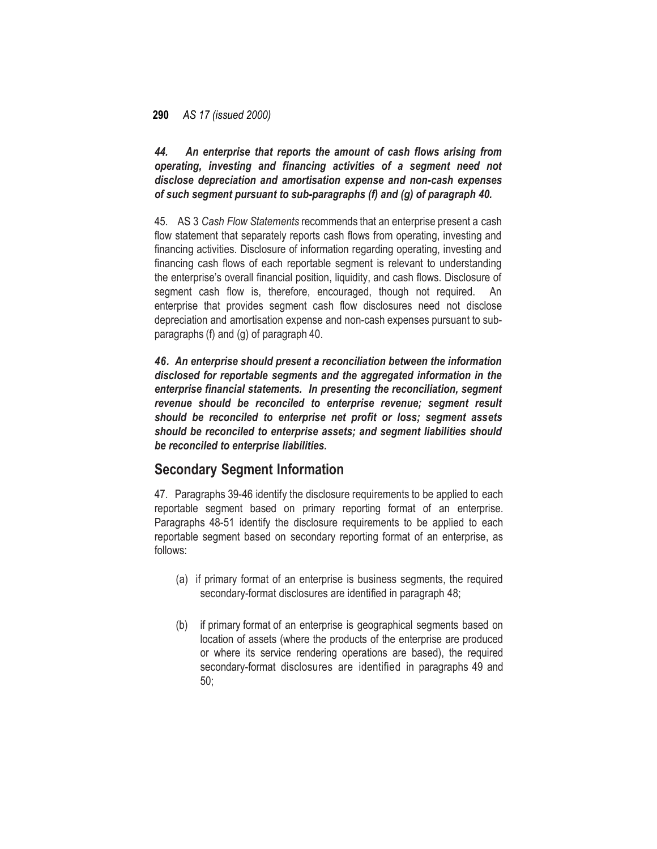*44. An enterprise that reports the amount of cash flows arising from operating, investing and financing activities of a segment need not disclose depreciation and amortisation expense and non-cash expenses of such segment pursuant to sub-paragraphs (f) and (g) of paragraph 40.*

45. AS 3 *Cash Flow Statements* recommends that an enterprise present a cash flow statement that separately reports cash flows from operating, investing and financing activities. Disclosure of information regarding operating, investing and financing cash flows of each reportable segment is relevant to understanding the enterprise's overall financial position, liquidity, and cash flows. Disclosure of segment cash flow is, therefore, encouraged, though not required. An enterprise that provides segment cash flow disclosures need not disclose depreciation and amortisation expense and non-cash expenses pursuant to subparagraphs (f) and (g) of paragraph 40.

*46. An enterprise should present a reconciliation between the information disclosed for reportable segments and the aggregated information in the enterprise financial statements. In presenting the reconciliation, segment revenue should be reconciled to enterprise revenue; segment result should be reconciled to enterprise net profit or loss; segment assets should be reconciled to enterprise assets; and segment liabilities should be reconciled to enterprise liabilities.*

#### **Secondary Segment Information**

47. Paragraphs 39-46 identify the disclosure requirements to be applied to each reportable segment based on primary reporting format of an enterprise. Paragraphs 48-51 identify the disclosure requirements to be applied to each reportable segment based on secondary reporting format of an enterprise, as follows:

- (a) if primary format of an enterprise is business segments, the required secondary-format disclosures are identified in paragraph 48;
- (b) if primary format of an enterprise is geographical segments based on location of assets (where the products of the enterprise are produced or where its service rendering operations are based), the required secondary-format disclosures are identified in paragraphs 49 and 50;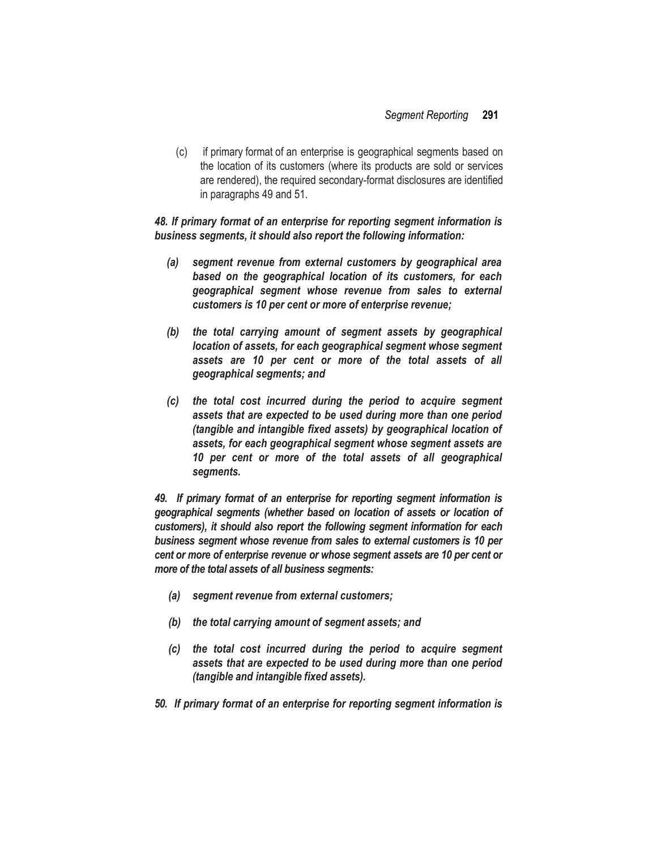(c) if primary format of an enterprise is geographical segments based on the location of its customers (where its products are sold or services are rendered), the required secondary-format disclosures are identified in paragraphs 49 and 51.

*48. If primary format of an enterprise for reporting segment information is business segments, it should also report the following information:*

- *(a) segment revenue from external customers by geographical area based on the geographical location of its customers, for each geographical segment whose revenue from sales to external customers is 10 per cent or more of enterprise revenue;*
- *(b) the total carrying amount of segment assets by geographical location of assets, for each geographical segment whose segment assets are 10 per cent or more of the total assets of all geographical segments; and*
- *(c) the total cost incurred during the period to acquire segment assets that are expected to be used during more than one period (tangible and intangible fixed assets) by geographical location of assets, for each geographical segment whose segment assets are 10 per cent or more of the total assets of all geographical segments.*

*49. If primary format of an enterprise for reporting segment information is geographical segments (whether based on location of assets or location of customers), it should also report the following segment information for each business segment whose revenue from sales to external customers is 10 per cent or more of enterprise revenue or whose segment assets are 10 per cent or more of the total assets of all business segments:*

- *(a) segment revenue from external customers;*
- *(b) the total carrying amount of segment assets; and*
- *(c) the total cost incurred during the period to acquire segment assets that are expected to be used during more than one period (tangible and intangible fixed assets).*
- *50. If primary format of an enterprise for reporting segment information is*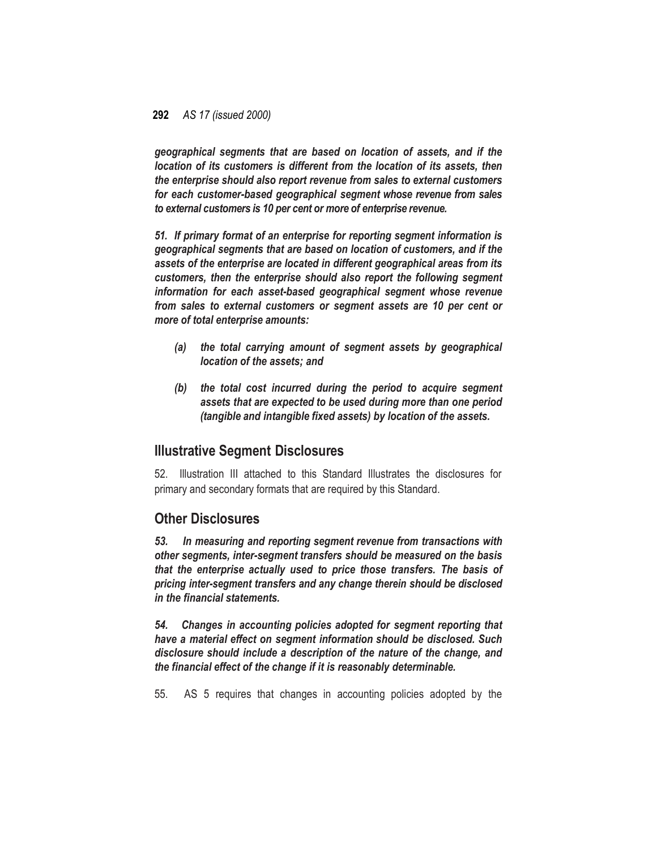*geographical segments that are based on location of assets, and if the location of its customers is different from the location of its assets, then the enterprise should also report revenue from sales to external customers for each customer-based geographical segment whose revenue from sales to external customers is 10 per cent or more of enterprise revenue.*

*51. If primary format of an enterprise for reporting segment information is geographical segments that are based on location of customers, and if the assets of the enterprise are located in different geographical areas from its customers, then the enterprise should also report the following segment information for each asset-based geographical segment whose revenue from sales to external customers or segment assets are 10 per cent or more of total enterprise amounts:*

- *(a) the total carrying amount of segment assets by geographical location of the assets; and*
- *(b) the total cost incurred during the period to acquire segment assets that are expected to be used during more than one period (tangible and intangible fixed assets) by location of the assets.*

#### **Illustrative Segment Disclosures**

52. Illustration III attached to this Standard Illustrates the disclosures for primary and secondary formats that are required by this Standard.

#### **Other Disclosures**

*53. In measuring and reporting segment revenue from transactions with other segments, inter-segment transfers should be measured on the basis that the enterprise actually used to price those transfers. The basis of pricing inter-segment transfers and any change therein should be disclosed in the financial statements.*

*54. Changes in accounting policies adopted for segment reporting that have a material effect on segment information should be disclosed. Such disclosure should include a description of the nature of the change, and the financial effect of the change if it is reasonably determinable.*

55. AS 5 requires that changes in accounting policies adopted by the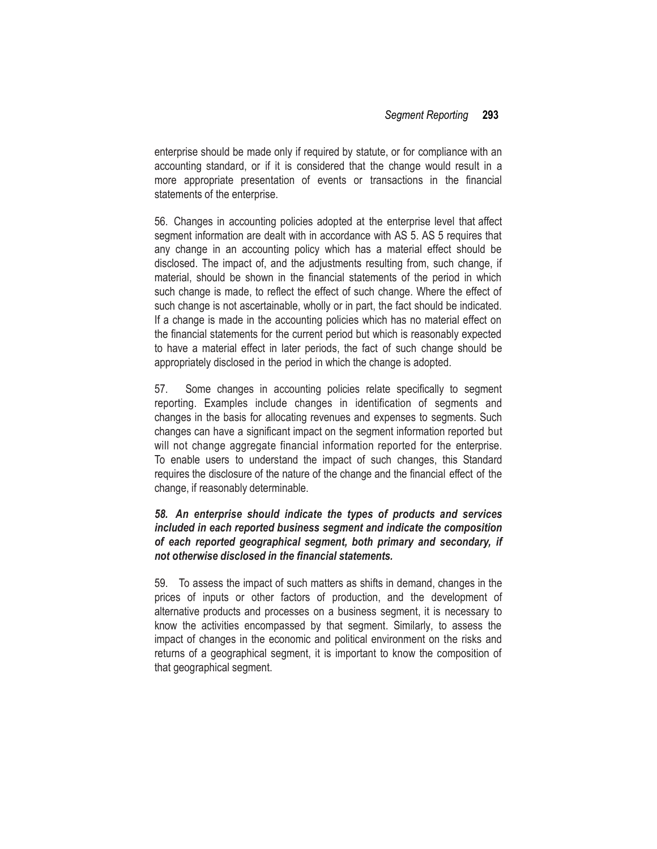enterprise should be made only if required by statute, or for compliance with an accounting standard, or if it is considered that the change would result in a more appropriate presentation of events or transactions in the financial statements of the enterprise.

56. Changes in accounting policies adopted at the enterprise level that affect segment information are dealt with in accordance with AS 5. AS 5 requires that any change in an accounting policy which has a material effect should be disclosed. The impact of, and the adjustments resulting from, such change, if material, should be shown in the financial statements of the period in which such change is made, to reflect the effect of such change. Where the effect of such change is not ascertainable, wholly or in part, the fact should be indicated. If a change is made in the accounting policies which has no material effect on the financial statements for the current period but which is reasonably expected to have a material effect in later periods, the fact of such change should be appropriately disclosed in the period in which the change is adopted.

57. Some changes in accounting policies relate specifically to segment reporting. Examples include changes in identification of segments and changes in the basis for allocating revenues and expenses to segments. Such changes can have a significant impact on the segment information reported but will not change aggregate financial information reported for the enterprise. To enable users to understand the impact of such changes, this Standard requires the disclosure of the nature of the change and the financial effect of the change, if reasonably determinable.

#### *58. An enterprise should indicate the types of products and services included in each reported business segment and indicate the composition of each reported geographical segment, both primary and secondary, if not otherwise disclosed in the financial statements.*

59. To assess the impact of such matters as shifts in demand, changes in the prices of inputs or other factors of production, and the development of alternative products and processes on a business segment, it is necessary to know the activities encompassed by that segment. Similarly, to assess the impact of changes in the economic and political environment on the risks and returns of a geographical segment, it is important to know the composition of that geographical segment.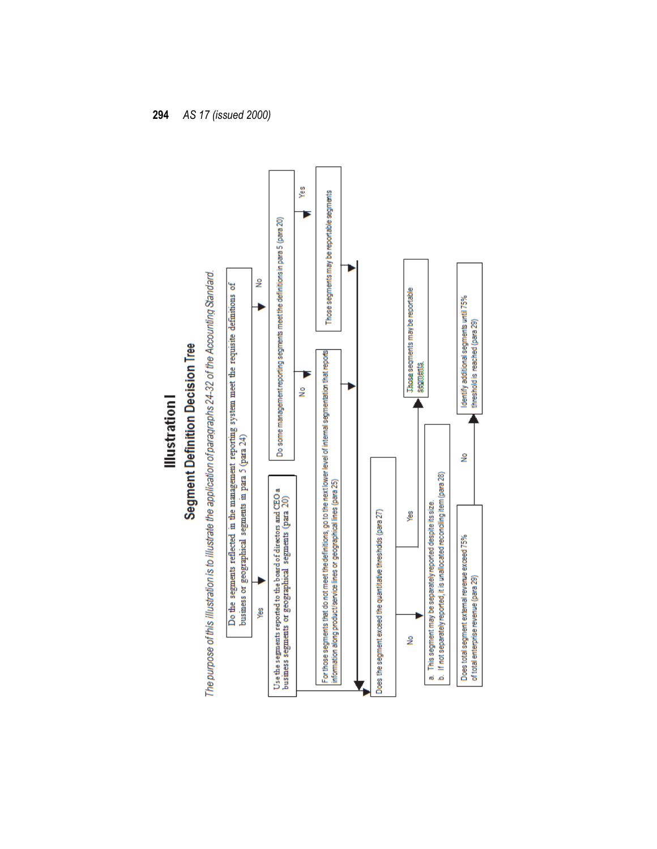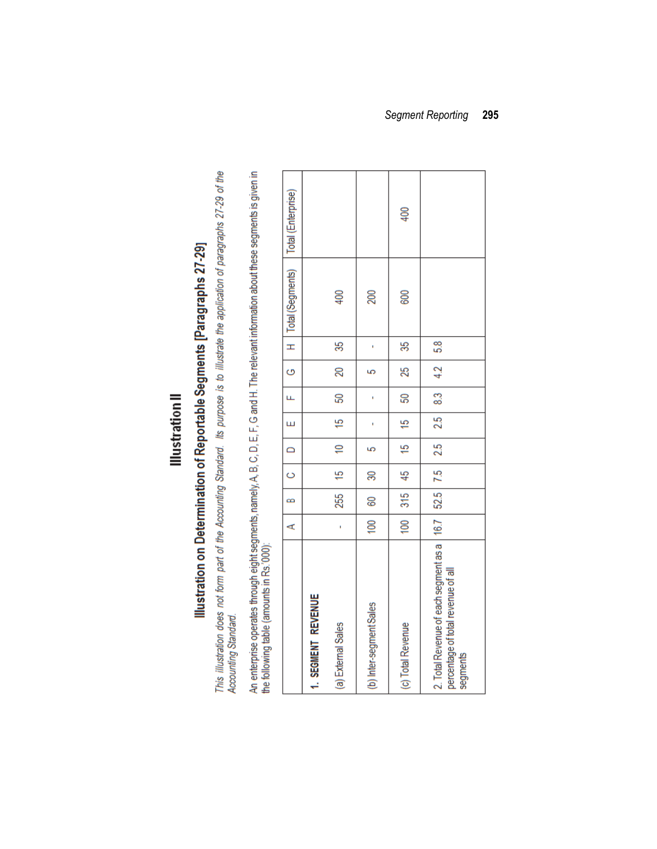# Illustration on Determination of Reportable Segments [Paragraphs 27-29]

This illustration does not form part of the Accounting Standard. Its purpose is to illustrate the application of paragraphs 27-29 of the Accounting Standard. An enterprise operates through eight segments, namely, A, B, C, D, E, F, G and H. The relevant information about these segments is given in<br>the following table (amounts in Rs. 2000):

|                                                                                                | $\overline{\phantom{a}}$ | $B$ $C$ $D$ |                |                | $\frac{1}{2}$  |                 |     |     | F   G   H   Total (Segments)   Total (Enterprise) |             |
|------------------------------------------------------------------------------------------------|--------------------------|-------------|----------------|----------------|----------------|-----------------|-----|-----|---------------------------------------------------|-------------|
| 1. SEGMENT REVENUE                                                                             |                          |             |                |                |                |                 |     |     |                                                   |             |
| (a) External Sales                                                                             | ï                        | 255         | $\frac{15}{2}$ | $\frac{10}{2}$ | $\frac{15}{2}$ | 50 <sub>1</sub> | 20  | ඝ   | 400                                               |             |
| (b) Inter-segment Sales                                                                        | 100                      | 60          | ౚౢ             | <u>မာ</u>      |                | I               | LO. |     | 200                                               |             |
| (c) Total Revenue                                                                              | 100                      | 315         | $-145$         | $\frac{15}{2}$ | $\frac{16}{2}$ | 50              | 25  | ౘ   | 600                                               | $rac{1}{2}$ |
| 2. Total Revenue of each segment as a   16.7<br>percentage of total revenue of all<br>segments |                          | 52.5        | 7.5            | 25             | 25             | $\frac{3}{2}$   | 42  | 5.3 |                                                   |             |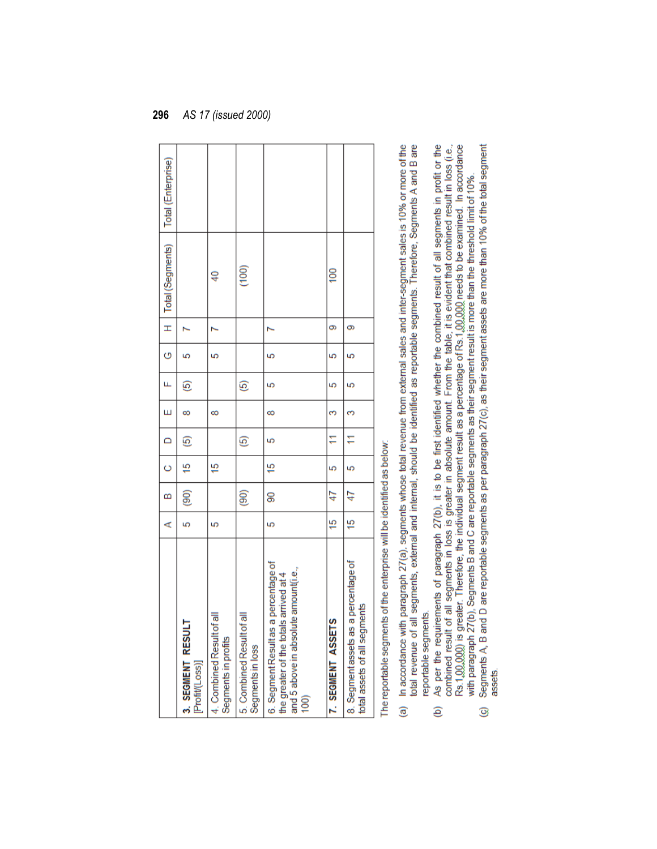|                                                                                                                              | $\prec$ | $\infty$ | $\circ$   | $\Box$        | Щ | Щ                      | $\circ$ |   | H   Total (Segments) | Total (Enterprise) |  |
|------------------------------------------------------------------------------------------------------------------------------|---------|----------|-----------|---------------|---|------------------------|---------|---|----------------------|--------------------|--|
| 3. SEGMENT RESULT<br>[Profit/(Loss)]                                                                                         | S       | <b>@</b> | <u>ية</u> | $\widehat{e}$ | ∞ | $\widehat{\mathbf{e}}$ | Ю       | N |                      |                    |  |
| 4. Combined Result of all<br>Segments in profits                                                                             | 5       |          | 15        |               | 8 |                        | 5       |   | $\frac{1}{2}$        |                    |  |
| $\overline{\overline{6}}$<br>5. Combined Resultof<br>Segments in loss                                                        |         | ම්)      |           | ම             |   | $\widehat{e}$          |         |   | (100)                |                    |  |
| 6. SegmentResultas a percentage of<br>the greater of the totals arrived at 4<br>and 5 above in absolute amount(i.e.,<br>100) | S       | 8        | 15        | 5             | ∞ | 5                      | 5       |   |                      |                    |  |
| S<br>. SEGMENT ASSET                                                                                                         | 45      | 47       | S         | Ë             | 3 | S                      | 5       | တ | 100                  |                    |  |
| 8. Segment assets as a percentage of<br>total assets of all segments                                                         | 45      | 47       | S         | H             | 3 | 5                      | 5       | တ |                      |                    |  |
| the contract of the contract of the contract of the contract of the contract of the contract of the contract of              |         |          |           |               |   |                        |         |   |                      |                    |  |

The reportable segments of the enterprise will be identified as below:

- In accordance with paragraph 27(a), segments whose total revenue from external sales and inter-segment sales is 10% or more of the total revenue of all segments, external and internal, should be identified as reportable segments. Therefore, Segments A and B are reportable segments.  $\widehat{a}$
- As per the requirements of paragraph 27(b), it is to be first identified whether the combined result of all segments in profit or the Rs.1,00,000) is greater. Therefore, the individual segment result as a percentage of Rs.1,00,000 needs to be examined. In accordance<br>with paragraph 27(b), Segments B and C are reportable segments as their segment result is combined result of all segments in loss is greater in absolute amount. From the table, it is evident that combined result in loss (i.e., ê
- Segments A, B and D are reportable segments as per paragraph 27(c), as their segment assets are more than 10% of the total segment assets.  $\circledcirc$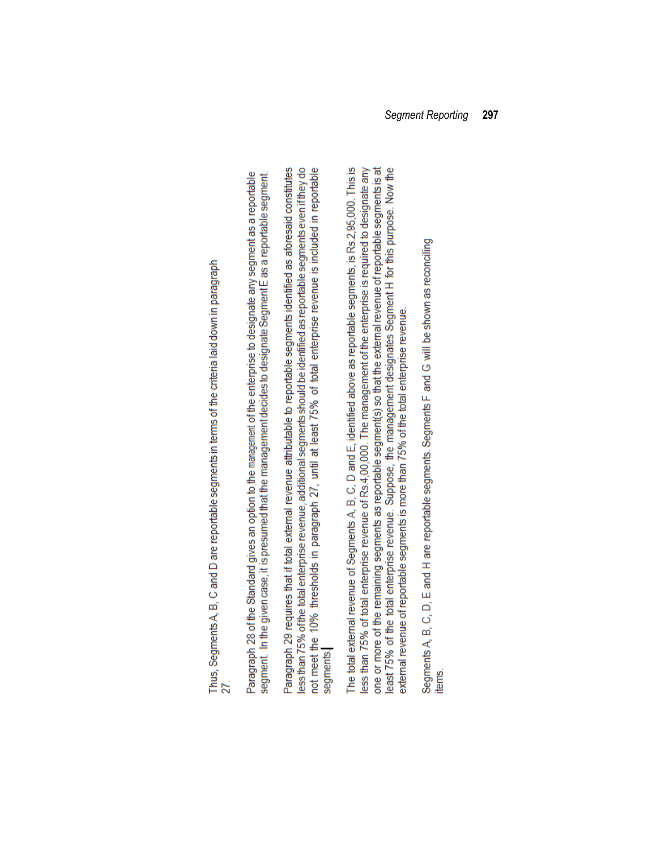Thus, Segments A, B, C and D are reportable segments in terms of the criteria laid down in paragraph 27. Paragraph 28 of the Standard gives an option to the management of the enterprise to designate any segment as a reportable segment. In the given case, it is presumed that the management decides to designate Segment E as a reportable segment. Paragraph 29 requires that if total external revenue attributable to reportable segments identified as aforesaid constitutes less than 75% of the total enterprise revenue, additional segments should be identified as reportable segments even if they do not meet the 10% thresholds in paragraph 27, until at least 75% of total enterprise revenue is included in reportable segments. The total external revenue of Segments A, B, C, D and E, identified above as reportable segments, is Rs.2,95,000. This is one or more of the remaining segments as reportable segment(s) so that the external revenue of reportable segments is at least 75% of the total enterprise revenue. Suppose, the management designates Segment H for this purpose. Now the less than 75% of total enterprise revenue of Rs.4,00,000. The management of the enterprise is required to designate any external revenue of reportable segments is more than 75% of the total enterprise revenue.

Segments A, B, C, D, E and H are reportable segments. Segments F and G will be shown as reconciling items.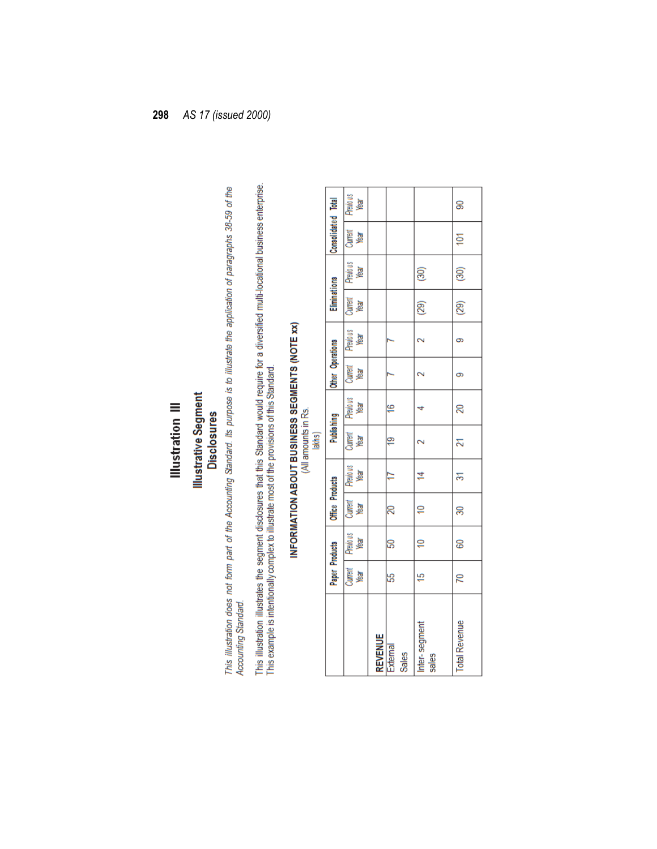## Illustration III

### **Illustrative Segment Disclosures**

This illustration does not form part of the Accounting Standard. Its purpose is to illustrate the application of paragraphs 38-59 of the Accounting Standard.

This illustration illustrates the segment disclosures that this Standard would require for a diversified multi-locational business enterprise.<br>This example is intentionally complex to illustrate most of the provisions of t

|        | Consolidated Total<br>Eliminations<br>Other Operations | Previous<br>Year<br>Current<br><b>Year</b><br>Previous<br><b>Real</b><br>Current<br>Year<br><b>Premous</b><br><b>Reak</b> |                |                          | මි<br>(29)<br>2        | ၶ<br>ĮФ<br>80)<br>(29)<br>တ |
|--------|--------------------------------------------------------|---------------------------------------------------------------------------------------------------------------------------|----------------|--------------------------|------------------------|-----------------------------|
|        |                                                        |                                                                                                                           |                |                          |                        |                             |
|        |                                                        |                                                                                                                           |                |                          |                        |                             |
|        |                                                        | Current<br>Year                                                                                                           |                |                          | $\mathbf{\tilde{c}}$   | စာ                          |
|        | <b>Publishing</b>                                      | <b>Previous</b><br>Year                                                                                                   |                | \$                       | 4                      | 20                          |
| lakhs) |                                                        | Current<br>Year                                                                                                           |                | e)                       | $\scriptstyle\sim$     | ম                           |
|        |                                                        | Previous<br>Year                                                                                                          |                | F                        | $\tilde{4}$            | స్                          |
|        | Office Products                                        | Current<br>Year                                                                                                           |                | $\overline{20}$          | $\cong$                | ఇ                           |
|        |                                                        | Previo us<br><b>Kear</b>                                                                                                  |                | 50                       | ₽                      | g                           |
|        | Paper Products                                         | Current<br>Year                                                                                                           |                | နာ                       | چ                      | 10                          |
|        |                                                        |                                                                                                                           | <b>REVENUE</b> | External<br><b>Sales</b> | Inter-segment<br>sales | <b>Total Revenue</b>        |

# INFORMATION ABOUT BUSINESS SEGMENTS (NOTE xx)<br>(All amounts in Rs.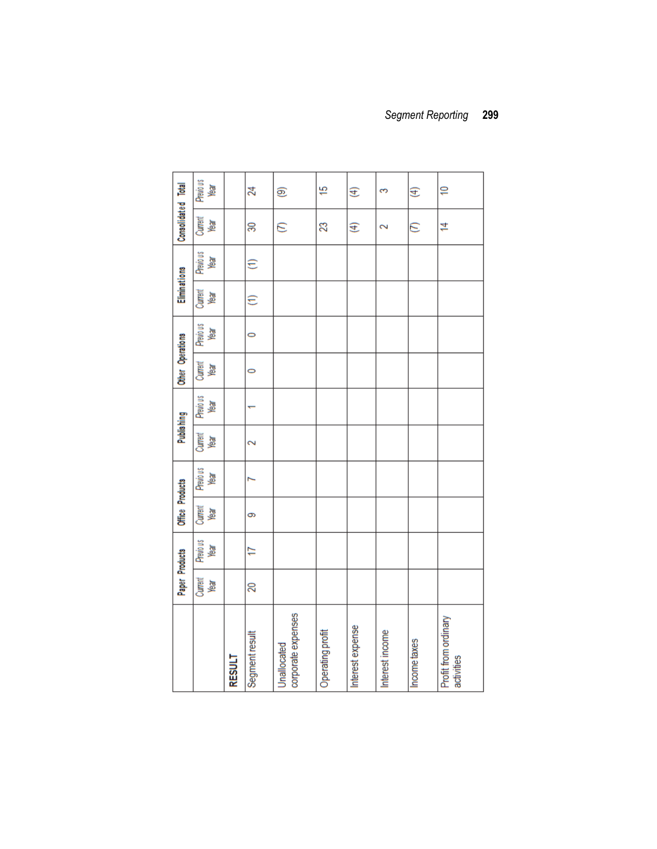*Segment Reporting* **299**

| Consolidated Total | Previous<br>Year               |               | 24                   | ම                                 | 5                | E                | 3               | E            | $\cong$                            |
|--------------------|--------------------------------|---------------|----------------------|-----------------------------------|------------------|------------------|-----------------|--------------|------------------------------------|
|                    | Current<br>Year                |               | ඝ                    | E                                 | 23               | E                | 2               | $\in$        | 4                                  |
|                    | <b>Previous</b><br><b>Real</b> |               | E                    |                                   |                  |                  |                 |              |                                    |
| Eliminations       | Current<br>Year                |               | $\widehat{\epsilon}$ |                                   |                  |                  |                 |              |                                    |
|                    | Previous<br>Year               |               | $\circ$              |                                   |                  |                  |                 |              |                                    |
| Other Operations   | Current<br><b>Reak</b>         |               | $\circ$              |                                   |                  |                  |                 |              |                                    |
|                    | <b>Previous</b><br>Year        |               |                      |                                   |                  |                  |                 |              |                                    |
| <b>Publishing</b>  | Current<br>Year                |               | 2                    |                                   |                  |                  |                 |              |                                    |
|                    | <b>Previous</b><br>Year        |               | N                    |                                   |                  |                  |                 |              |                                    |
| Office Products    | Current<br>Year                |               | o                    |                                   |                  |                  |                 |              |                                    |
|                    | Previous<br>Year               |               | Ħ                    |                                   |                  |                  |                 |              |                                    |
| Paper Products     | Current<br>weak                |               | $\overline{20}$      |                                   |                  |                  |                 |              |                                    |
|                    |                                | <b>RESULT</b> | Segment result       | corporate expenses<br>Unallocated | Operating profit | Interest expense | Interest income | Income taxes | Profit from ordinary<br>activities |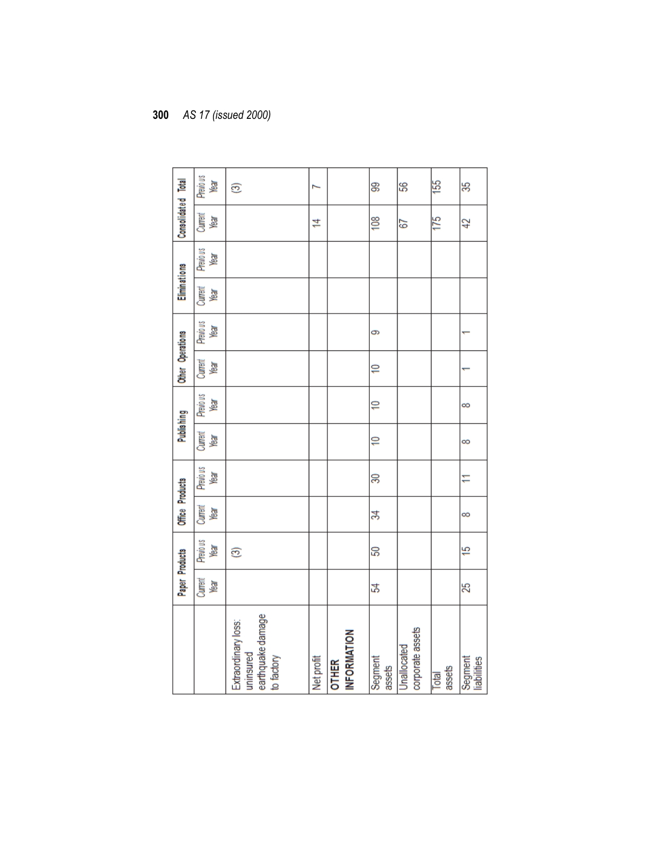|                           | Previous<br><b>Rey</b>         | ම්                                                                  | N          |                                    | ஐ                 | \$                              | 155             | 35                     |
|---------------------------|--------------------------------|---------------------------------------------------------------------|------------|------------------------------------|-------------------|---------------------------------|-----------------|------------------------|
| <b>Consolidated</b> Total | Current<br>key                 |                                                                     | 4          |                                    | $\frac{8}{2}$     | 59                              | $\frac{1}{175}$ | 42                     |
|                           | Previous<br>Year               |                                                                     |            |                                    |                   |                                 |                 |                        |
| Elminations               | Current<br><b>Reak</b>         |                                                                     |            |                                    |                   |                                 |                 |                        |
|                           | Previous<br><b>Real</b>        |                                                                     |            |                                    | တ                 |                                 |                 |                        |
| Other Operations          | Current<br><b>Reak</b>         |                                                                     |            |                                    | $\cong$           |                                 |                 |                        |
|                           | <b>Previous</b><br>Year        |                                                                     |            |                                    | ≘                 |                                 |                 | 8                      |
| <b>Publishing</b>         | Current<br>Year                |                                                                     |            |                                    | ₽                 |                                 |                 | ∞                      |
|                           | Previous<br>Year               |                                                                     |            |                                    | ඝ                 |                                 |                 |                        |
| Office Products           | Current<br>Year                |                                                                     |            |                                    | ₹                 |                                 |                 | 8                      |
|                           | <b>Previous</b><br><b>Reak</b> | ම                                                                   |            |                                    | ន                 |                                 |                 | $\ddot{5}$             |
| Paper Products            | Current<br><b>Reak</b>         |                                                                     |            |                                    | 3                 |                                 |                 | 25                     |
|                           |                                | earthquake damage<br>Extraordinary loss:<br>uninsured<br>to factory | Net profit | <b>INFORMATION</b><br><b>OTHER</b> | Segment<br>assets | corporate assets<br>Unallocated | assets<br>Total | Segment<br>liabilities |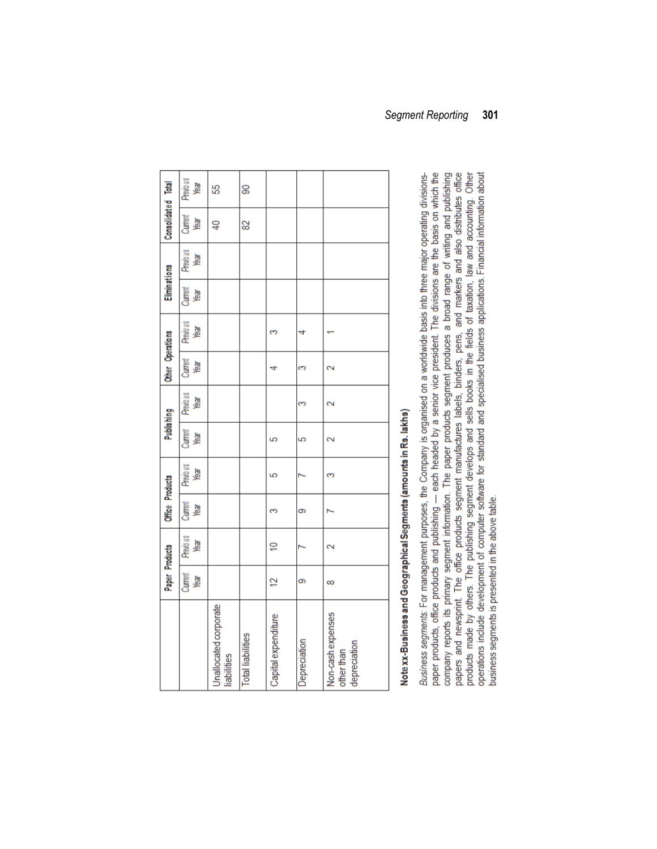|                                                 | Paper Products  |                  | Office Products |                  | <b>Publishing</b>      |                      | Other Operations     |                         | Eliminations    |                         | <b>Consolidated</b> Total |                         |
|-------------------------------------------------|-----------------|------------------|-----------------|------------------|------------------------|----------------------|----------------------|-------------------------|-----------------|-------------------------|---------------------------|-------------------------|
|                                                 | Current<br>Near | Previous<br>Year | Current<br>Year | Previous<br>Near | <b>Current</b><br>Year | Presions<br>year     | Current<br>Near      | Previous<br><b>Vear</b> | Current<br>Year | <b>Previous</b><br>year | Current<br>Year           | <b>Previous</b><br>year |
| Unallocated corporate<br>iabilities             |                 |                  |                 |                  |                        |                      |                      |                         |                 |                         | ₽,                        | 55                      |
| <b>Total liabilities</b>                        |                 |                  |                 |                  |                        |                      |                      |                         |                 |                         | 8                         | 8                       |
| Capital expenditure                             | $\tilde{c}$     | $\cong$          | m               | 5                | 5                      |                      | 4                    | 3                       |                 |                         |                           |                         |
| Depreciation                                    | တ               |                  | ō               |                  | 5                      | 3                    | 3                    | 4                       |                 |                         |                           |                         |
| Non-cash expenses<br>depreciation<br>other than | ∞               | 2                |                 | 3                | 2                      | $\mathbf{\tilde{c}}$ | $\mathbf{\tilde{c}}$ |                         |                 |                         |                           |                         |

| I      |  |
|--------|--|
|        |  |
|        |  |
| I<br>i |  |
|        |  |
|        |  |
|        |  |
|        |  |
|        |  |
|        |  |
|        |  |
| ֕      |  |
|        |  |
|        |  |
|        |  |
|        |  |
|        |  |
|        |  |
| i      |  |
|        |  |
|        |  |
|        |  |
|        |  |
| I      |  |
|        |  |
|        |  |
| ֠      |  |
|        |  |
|        |  |
|        |  |
|        |  |
|        |  |
|        |  |
|        |  |
|        |  |
|        |  |
|        |  |
|        |  |
|        |  |
|        |  |
|        |  |
|        |  |
|        |  |
|        |  |
|        |  |
|        |  |
| ı      |  |
|        |  |
|        |  |
|        |  |
|        |  |
|        |  |
| ı<br>I |  |
|        |  |

company reports its primary segment information. The paper products segment produces a broad range of writing and publishing<br>papers and newsprint. The office products segment manufactures labels, binders, pens, and markers Business segments: For management purposes, the Company is organised on a worldwide basis into three major operating divisionspaper products, office products and publishing — each headed by a senior vice president. The divisions are the basis on which the business segments is presented in the above table.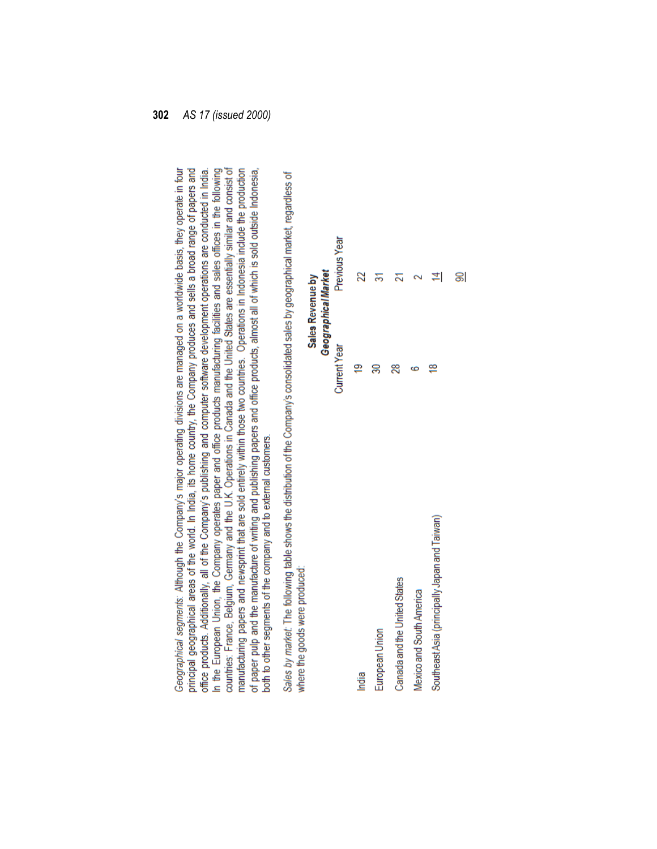Geographical segments: Although the Company's major operating divisions are managed on a worldwide basis, they operate in four principal geographical areas of the world. In India, its home country, the Company produces and sells a broad range of papers and In the European Union, the Company operates paper and office products manufacturing facilities and sales offices in the following countries: France, Belgium, Germany and the U.K. Operations in Canada and the United States are essentially similar and consist of manufacturing papers and newsprint that are sold entirely within those two countries. Operations in Indonesia include the production office products. Additionally, all of the Company's publishing and computer software development operations are conducted in India. of paper pulp and the manufacture of writing and publishing papers and office products, almost all of which is sold outside Indonesia, ooth to other segments of the company and to external customers.

Sales by market: The following table shows the distribution of the Company's consolidated sales by geographical market, regardless of where the goods were produced:

Sales Revenue by

|                                               |              | Geographical Market |
|-----------------------------------------------|--------------|---------------------|
|                                               | Current Year | Previous Year       |
| ndia                                          |              | 22                  |
| European Union                                |              |                     |
| Canada and the United States                  | 28           |                     |
| Mexico and South America                      |              |                     |
| Southeast Asia (principally Japan and Taiwan) | ≌            |                     |

ချ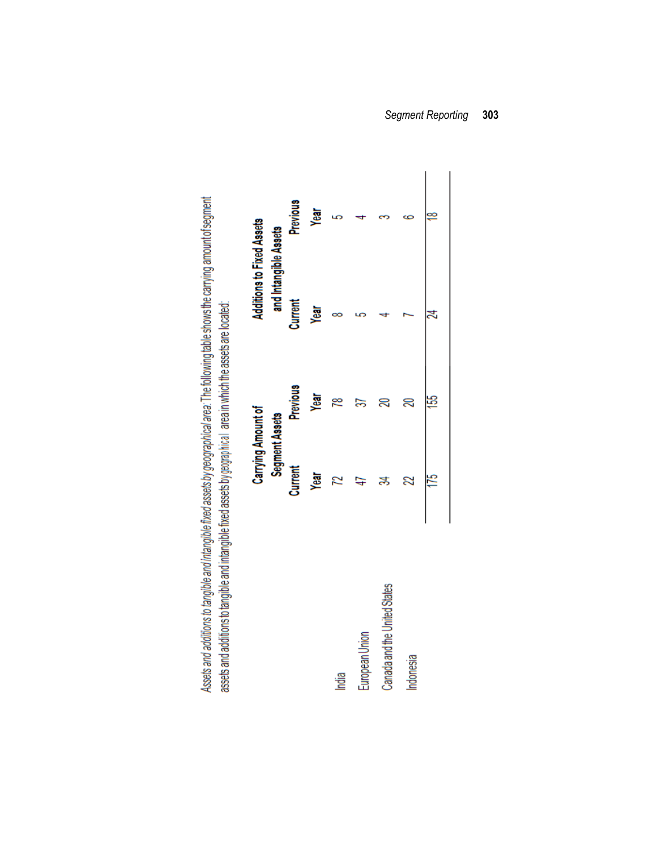|                              | <b>Carrying Amount of</b><br>Segment Assets |          | <b>Additions to Fixed Assets</b> | and Intangible Assets |
|------------------------------|---------------------------------------------|----------|----------------------------------|-----------------------|
|                              | <b>Current</b>                              | Previous | <b>Current</b>                   | <b>Previous</b>       |
|                              | Year                                        | Year     | Year                             | Year                  |
| India                        |                                             |          |                                  |                       |
| European Union               |                                             |          |                                  |                       |
| Canada and the United States | ₹                                           | ສ        |                                  |                       |
| Indonesia                    | 22                                          | ສ        |                                  |                       |
|                              | 175                                         | Ģ        |                                  | ₽                     |

Assets and additions to tangible and intangible fixed assets by geographical area: The following table shows the carrying amount of segment assets and additions to tangible and intangible fixed assets by geographical area in which the assets are located: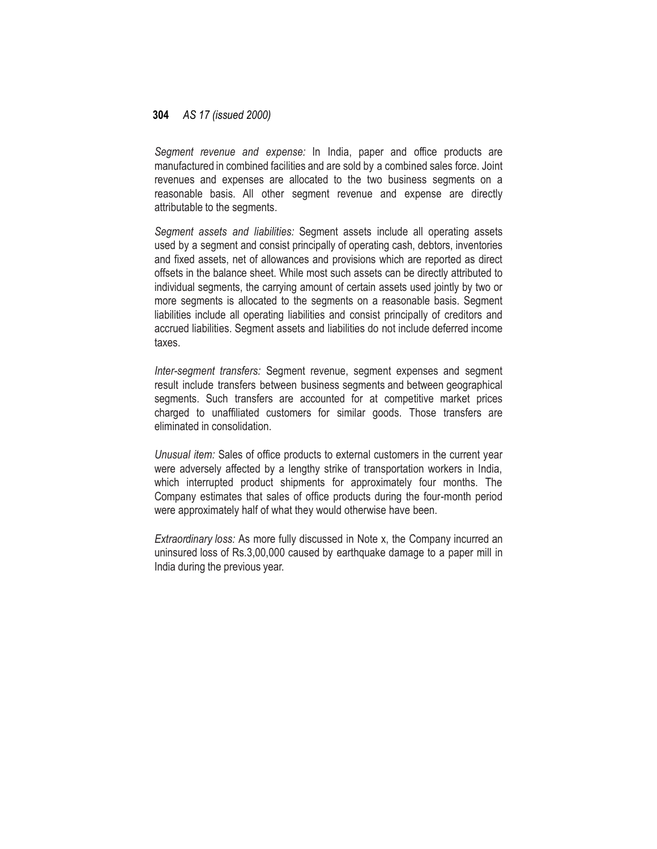*Segment revenue and expense:* In India, paper and office products are manufactured in combined facilities and are sold by a combined sales force. Joint revenues and expenses are allocated to the two business segments on a reasonable basis. All other segment revenue and expense are directly attributable to the segments.

*Segment assets and liabilities:* Segment assets include all operating assets used by a segment and consist principally of operating cash, debtors, inventories and fixed assets, net of allowances and provisions which are reported as direct offsets in the balance sheet. While most such assets can be directly attributed to individual segments, the carrying amount of certain assets used jointly by two or more segments is allocated to the segments on a reasonable basis. Segment liabilities include all operating liabilities and consist principally of creditors and accrued liabilities. Segment assets and liabilities do not include deferred income taxes.

*Inter-segment transfers:* Segment revenue, segment expenses and segment result include transfers between business segments and between geographical segments. Such transfers are accounted for at competitive market prices charged to unaffiliated customers for similar goods. Those transfers are eliminated in consolidation.

*Unusual item:* Sales of office products to external customers in the current year were adversely affected by a lengthy strike of transportation workers in India, which interrupted product shipments for approximately four months. The Company estimates that sales of office products during the four-month period were approximately half of what they would otherwise have been.

*Extraordinary loss:* As more fully discussed in Note x, the Company incurred an uninsured loss of Rs.3,00,000 caused by earthquake damage to a paper mill in India during the previous year.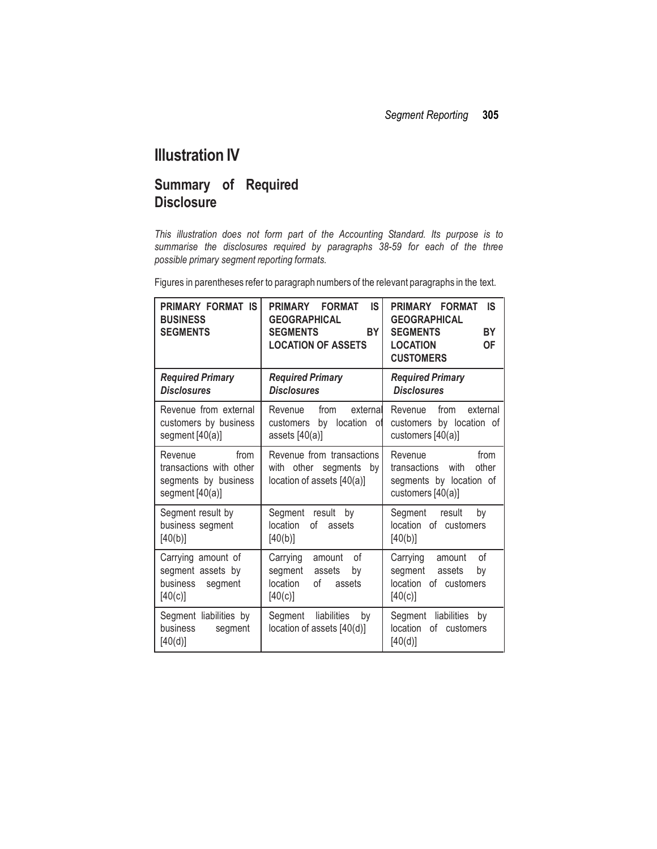#### **Illustration IV**

#### **Summary of Required Disclosure**

*This illustration does not form part of the Accounting Standard. Its purpose is to summarise the disclosures required by paragraphs 38-59 for each of the three possible primary segment reporting formats.*

Figures in parentheses refer to paragraph numbers of the relevant paragraphs in the text.

| PRIMARY FORMAT IS<br><b>BUSINESS</b><br><b>SEGMENTS</b>                                 | IS<br><b>FORMAT</b><br><b>PRIMARY</b><br><b>GEOGRAPHICAL</b><br><b>SEGMENTS</b><br><b>BY</b><br><b>LOCATION OF ASSETS</b> | PRIMARY FORMAT<br><b>IS</b><br><b>GEOGRAPHICAL</b><br><b>SEGMENTS</b><br>BY<br><b>LOCATION</b><br><b>OF</b><br><b>CUSTOMERS</b> |
|-----------------------------------------------------------------------------------------|---------------------------------------------------------------------------------------------------------------------------|---------------------------------------------------------------------------------------------------------------------------------|
| <b>Required Primary</b><br><b>Disclosures</b>                                           | <b>Required Primary</b><br><b>Disclosures</b>                                                                             | <b>Required Primary</b><br><b>Disclosures</b>                                                                                   |
| Revenue from external<br>customers by business<br>segment $[40(a)]$                     | external<br>from<br>Revenue<br>customers by location<br>- o1<br>assets $[40(a)]$                                          | from<br>external<br>Revenue<br>customers by location of<br>customers [40(a)]                                                    |
| from<br>Revenue<br>transactions with other<br>segments by business<br>segment $[40(a)]$ | Revenue from transactions<br>other segments by<br>with<br>location of assets [40(a)]                                      | from<br>Revenue<br>with<br>other<br>transactions<br>segments by location of<br>customers [40(a)]                                |
| Segment result by<br>business segment<br>$[40(b)]$                                      | Segment result<br>bv<br>location<br>of<br>assets<br>[40(b)]                                                               | Segment result<br>bv<br>location of customers<br>[40(b)]                                                                        |
| Carrying amount of<br>segment assets by<br>business segment<br>[40(c)]                  | Carrying<br>amount<br>οf<br>segment<br>assets<br>bv<br>location<br>of<br>assets<br>[40(c)]                                | Carrying<br>of<br>amount<br>segment<br>assets<br>by<br>location of customers<br>[40(c)]                                         |
| Segment liabilities by<br>business<br>segment<br>[40(d)]                                | Segment liabilities<br>bγ<br>location of assets [40(d)]                                                                   | Segment liabilities<br>by<br>location of customers<br>[40(d)]                                                                   |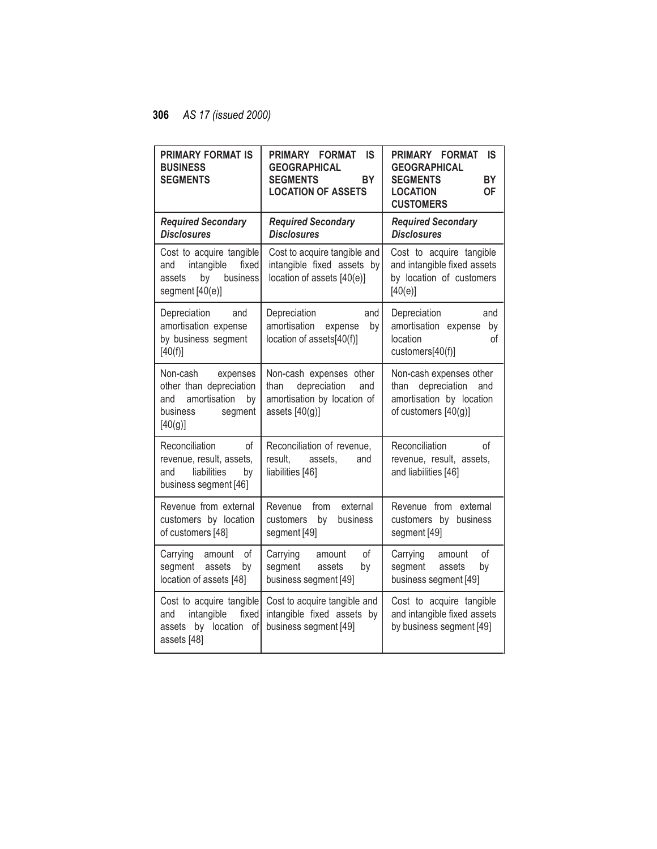| <b>PRIMARY FORMAT IS</b><br><b>BUSINESS</b><br><b>SEGMENTS</b>                                                 | PRIMARY FORMAT<br>IS<br><b>GEOGRAPHICAL</b><br><b>SEGMENTS</b><br><b>BY</b><br><b>LOCATION OF ASSETS</b>  | PRIMARY FORMAT<br>IS<br><b>GEOGRAPHICAL</b><br><b>BY</b><br><b>SEGMENTS</b><br><b>LOCATION</b><br><b>OF</b><br><b>CUSTOMERS</b> |
|----------------------------------------------------------------------------------------------------------------|-----------------------------------------------------------------------------------------------------------|---------------------------------------------------------------------------------------------------------------------------------|
| <b>Required Secondary</b><br><b>Disclosures</b>                                                                | <b>Required Secondary</b><br><b>Disclosures</b>                                                           | <b>Required Secondary</b><br><b>Disclosures</b>                                                                                 |
| Cost to acquire tangible<br>intangible<br>fixed<br>and<br>by<br>business<br>assets<br>segment [40(e)]          | Cost to acquire tangible and<br>intangible fixed assets by<br>location of assets [40(e)]                  | Cost to acquire tangible<br>and intangible fixed assets<br>by location of customers<br>[40(e)]                                  |
| Depreciation<br>and<br>amortisation expense<br>by business segment<br>[40(f)]                                  | Depreciation<br>and<br>amortisation<br>expense<br>by<br>location of assets[40(f)]                         | Depreciation<br>and<br>amortisation expense<br>by<br>location<br>οf<br>customers[40(f)]                                         |
| Non-cash<br>expenses<br>other than depreciation<br>amortisation<br>and<br>by<br>business<br>segment<br>[40(g)] | Non-cash expenses other<br>depreciation<br>than<br>and<br>amortisation by location of<br>assets $[40(g)]$ | Non-cash expenses other<br>depreciation<br>than<br>and<br>amortisation by location<br>of customers [40(g)]                      |
| Reconciliation<br>of<br>revenue, result, assets,<br>liabilities<br>and<br>by<br>business segment [46]          | Reconciliation of revenue,<br>result,<br>assets,<br>and<br>liabilities [46]                               | Reconciliation<br>of<br>revenue, result, assets,<br>and liabilities [46]                                                        |
| Revenue from external<br>customers by location<br>of customers [48]                                            | Revenue<br>external<br>from<br>business<br>customers<br>by<br>segment [49]                                | Revenue from external<br>customers by business<br>segment [49]                                                                  |
| Carrying<br>of<br>amount<br>segment<br>assets<br>by<br>location of assets [48]                                 | of<br>Carrying<br>amount<br>segment<br>assets<br>by<br>business segment [49]                              | of<br>Carrying<br>amount<br>segment<br>assets<br>by<br>business segment [49]                                                    |
| Cost to acquire tangible<br>intangible<br>fixed<br>and<br>location<br>of<br>assets<br>by<br>assets [48]        | Cost to acquire tangible and<br>intangible fixed assets by<br>business segment [49]                       | Cost to acquire tangible<br>and intangible fixed assets<br>by business segment [49]                                             |